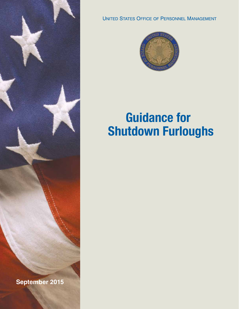

**UNITED STATES OFFICE OF PERSONNEL MANAGEMENT** 



# **Guidance for Shutdown Furloughs**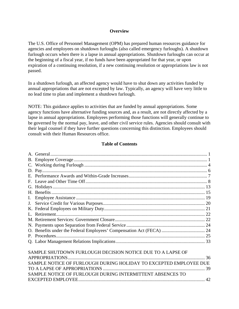#### **Overview**

The U.S. Office of Personnel Management (OPM) has prepared human resources guidance for agencies and employees on shutdown furloughs (also called emergency furloughs). A shutdown furlough occurs when there is a lapse in annual appropriations. Shutdown furloughs can occur at the beginning of a fiscal year, if no funds have been appropriated for that year, or upon expiration of a continuing resolution, if a new continuing resolution or appropriations law is not passed.

In a shutdown furlough, an affected agency would have to shut down any activities funded by annual appropriations that are not excepted by law. Typically, an agency will have very little to no lead time to plan and implement a shutdown furlough.

NOTE: This guidance applies to activities that are funded by annual appropriations. Some agency functions have alternative funding sources and, as a result, are not directly affected by a lapse in annual appropriations. Employees performing those functions will generally continue to be governed by the normal pay, leave, and other civil service rules. Agencies should consult with their legal counsel if they have further questions concerning this distinction. Employees should consult with their Human Resources office.

#### **Table of Contents**

|                                                                   | O. Benefits under the Federal Employees' Compensation Act (FECA)  24 |    |
|-------------------------------------------------------------------|----------------------------------------------------------------------|----|
|                                                                   |                                                                      |    |
|                                                                   |                                                                      |    |
|                                                                   |                                                                      |    |
| SAMPLE SHUTDOWN FURLOUGH DECISION NOTICE DUE TO A LAPSE OF        |                                                                      |    |
|                                                                   |                                                                      |    |
| SAMPLE NOTICE OF FURLOUGH DURING HOLIDAY TO EXCEPTED EMPLOYEE DUE |                                                                      |    |
|                                                                   |                                                                      | 39 |
|                                                                   | SAMPLE NOTICE OF FURLOUGH DURING INTERMITTENT ABSENCES TO            |    |
|                                                                   |                                                                      |    |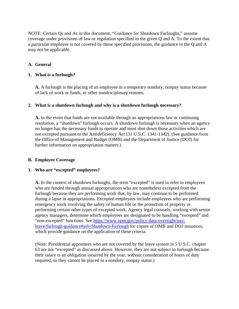NOTE: Certain Qs and As in this document, "Guidance for Shutdown Furloughs," assume coverage under provisions of law or regulation specified in the given Q and A. To the extent that a particular employee is not covered by those specified provisions, the guidance in the Q and A may not be applicable.

## <span id="page-2-0"></span>**A. General**

#### **1. What is a furlough?**

**A.** A furlough is the placing of an employee in a temporary nonduty, nonpay status because of lack of work or funds, or other nondisciplinary reasons.

#### **2. What is a shutdown furlough and why is a shutdown furlough necessary?**

**A.** In the event that funds are not available through an appropriations law or continuing resolution, a "shutdown" furlough occurs. A shutdown furlough is necessary when an agency no longer has the necessary funds to operate and must shut down those activities which are not excepted pursuant to the Antideficiency Act (31 U.S.C. 1341-1342). (See guidance from the Office of Management and Budget (OMB) and the Department of Justice (DOJ) for further information on appropriation matters.)

#### <span id="page-2-1"></span>**B. Employee Coverage**

#### **1. Who are "excepted" employees?**

**A.** In the context of shutdown furloughs, the term "excepted" is used to refer to employees who are funded through annual appropriations who are nonetheless excepted from the furlough because they are performing work that, by law, may continue to be performed during a lapse in appropriations. Excepted employees include employees who are performing emergency work involving the safety of human life or the protection of property or performing certain other types of excepted work. Agency legal counsels, working with senior agency managers, determine which employees are designated to be handling "excepted" and "non-excepted" functions. See [https://www.opm.gov/policy-data-oversight/pay](https://www.opm.gov/policy-data-oversight/pay-leave/furlough-guidance#url=Shutdown-Furlough)[leave/furlough-guidance#url=Shutdown-Furlough](https://www.opm.gov/policy-data-oversight/pay-leave/furlough-guidance#url=Shutdown-Furlough) for copies of OMB and DOJ issuances, which provide guidance on the application of these criteria.

(Note: Presidential appointees who are not covered by the leave system in 5 U.S.C. chapter 63 are not "excepted" as discussed above. However, they are not subject to furlough because their salary is an obligation incurred by the year, without consideration of hours of duty required, so they cannot be placed in a nonduty, nonpay status.)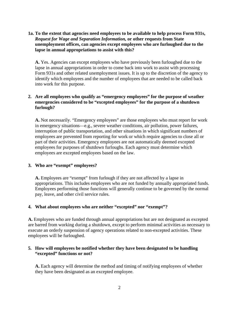## **1a. To the extent that agencies need employees to be available to help process Form 931s,**  *Request for Wage and Separation Information,* **or other requests from State unemployment offices, can agencies except employees who are furloughed due to the lapse in annual appropriations to assist with this?**

**A.** Yes. Agencies can except employees who have previously been furloughed due to the lapse in annual appropriations in order to come back into work to assist with processing Form 931s and other related unemployment issues. It is up to the discretion of the agency to identify which employees and the number of employees that are needed to be called back into work for this purpose.

## **2. Are all employees who qualify as "emergency employees" for the purpose of weather emergencies considered to be "excepted employees" for the purpose of a shutdown furlough?**

**A.** Not necessarily. "Emergency employees" are those employees who must report for work in emergency situations—e.g., severe weather conditions, air pollution, power failures, interruption of public transportation, and other situations in which significant numbers of employees are prevented from reporting for work or which require agencies to close all or part of their activities. Emergency employees are not automatically deemed excepted employees for purposes of shutdown furloughs. Each agency must determine which employees are excepted employees based on the law.

## **3. Who are "exempt" employees?**

**A.** Employees are "exempt" from furlough if they are not affected by a lapse in appropriations. This includes employees who are not funded by annually appropriated funds. Employees performing those functions will generally continue to be governed by the normal pay, leave, and other civil service rules.

## **4. What about employees who are neither "excepted" nor "exempt"?**

**A.** Employees who are funded through annual appropriations but are not designated as excepted are barred from working during a shutdown, except to perform minimal activities as necessary to execute an orderly suspension of agency operations related to non-excepted activities. These employees will be furloughed.

## **5. How will employees be notified whether they have been designated to be handling "excepted" functions or not?**

**A.** Each agency will determine the method and timing of notifying employees of whether they have been designated as an excepted employee.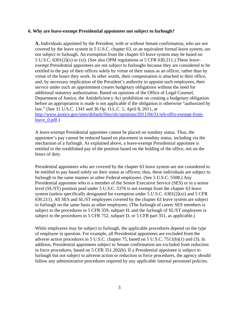#### **6. Why are leave-exempt Presidential appointees not subject to furlough?**

**A.** Individuals appointed by the President, with or without Senate confirmation, who are not covered by the leave system in 5 U.S.C. chapter 63, or an equivalent formal leave system, are not subject to furlough. An exemption from the chapter 63 leave system may be based on 5 U.S.C. 6301(2)(x) or (xi). (See also OPM regulations at 5 CFR 630.211.) These leaveexempt Presidential appointees are not subject to furloughs because they are considered to be entitled to the pay of their offices solely by virtue of their status as an officer, rather than by virtue of the hours they work. In other words, their compensation is attached to their office, and, by necessary implication of the President's authority to appoint such employees, their service under such an appointment creates budgetary obligations without the need for additional statutory authorization. Based on opinions of the Office of Legal Counsel, Department of Justice, the Antideficiency Act prohibition on creating a budgetary obligation before an appropriation is made is not applicable if the obligation is otherwise "authorized by law." (See 31 U.S.C. 1341 and 36 Op. O.L.C. 1, April 8, 2011, at [http://www.justice.gov/sites/default/files/olc/opinions/2011/04/31/wh-offrs-exempt-from](http://www.justice.gov/sites/default/files/olc/opinions/2011/04/31/wh-offrs-exempt-from-leave_0.pdf)[leave\\_0.pdf.](http://www.justice.gov/sites/default/files/olc/opinions/2011/04/31/wh-offrs-exempt-from-leave_0.pdf))

A leave-exempt Presidential appointee cannot be placed on nonduty status. Thus, the appointee's pay cannot be reduced based on placement in nonduty status, including via the mechanism of a furlough. As explained above, a leave-exempt Presidential appointee is entitled to the established pay of the position based on the holding of the office, not on the hours of duty.

Presidential appointees who are covered by the chapter 63 leave system are not considered to be entitled to pay based solely on their status as officers; thus, these individuals are subject to furlough in the same manner as other Federal employees. (See 5 U.S.C. 5508.) Any Presidential appointee who is a member of the Senior Executive Service (SES) or in a senior level (SL/ST) position paid under 5 U.S.C. 5376 is not exempt from the chapter 63 leave system (unless specifically designated for exemption under 5 U.S.C. 6301(2)(xi) and 5 CFR 630.211). All SES and SL/ST employees covered by the chapter 63 leave system are subject to furlough on the same basis as other employees. (The furlough of career SES members is subject to the procedures in 5 CFR 359, subpart H, and the furlough of SL/ST employees is subject to the procedures in 5 CFR 752, subpart D, or 5 CFR part 351, as applicable.)

While employees may be subject to furlough, the applicable procedures depend on the type of employee in question. For example, all Presidential appointees are excluded from the adverse action procedures in 5 U.S.C. chapter 75, based on 5 U.S.C. 7511(b)(1) and (3). In addition, Presidential appointees subject to Senate confirmation are excluded from reduction in force procedures, based on 5 CFR 351.202(b). If a Presidential appointee is subject to furlough but not subject to adverse action or reduction in force procedures, the agency should follow any administrative procedures required by any applicable internal personnel policies.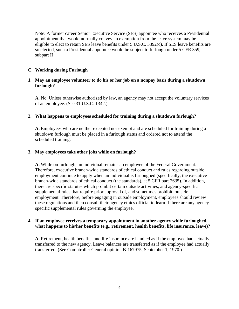Note: A former career Senior Executive Service (SES) appointee who receives a Presidential appointment that would normally convey an exemption from the leave system may be eligible to elect to retain SES leave benefits under 5 U.S.C. 3392(c). If SES leave benefits are so elected, such a Presidential appointee would be subject to furlough under 5 CFR 359, subpart H.

## <span id="page-5-0"></span>**C. Working during Furlough**

## **1. May an employee volunteer to do his or her job on a nonpay basis during a shutdown furlough?**

**A.** No. Unless otherwise authorized by law, an agency may not accept the voluntary services of an employee. (See 31 U.S.C. 1342.)

#### **2. What happens to employees scheduled for training during a shutdown furlough?**

**A.** Employees who are neither excepted nor exempt and are scheduled for training during a shutdown furlough must be placed in a furlough status and ordered not to attend the scheduled training.

#### **3. May employees take other jobs while on furlough?**

**A.** While on furlough, an individual remains an employee of the Federal Government. Therefore, executive branch-wide standards of ethical conduct and rules regarding outside employment continue to apply when an individual is furloughed (specifically, the executive branch-wide standards of ethical conduct (the standards), at 5 CFR part 2635). In addition, there are specific statutes which prohibit certain outside activities, and agency-specific supplemental rules that require prior approval of, and sometimes prohibit, outside employment. Therefore, before engaging in outside employment, employees should review these regulations and then consult their agency ethics official to learn if there are any agencyspecific supplemental rules governing the employee.

#### **4. If an employee receives a temporary appointment in another agency while furloughed, what happens to his/her benefits (e.g., retirement, health benefits, life insurance, leave)?**

**A.** Retirement, health benefits, and life insurance are handled as if the employee had actually transferred to the new agency. Leave balances are transferred as if the employee had actually transferred. (See Comptroller General opinion B-167975, September 1, 1970.)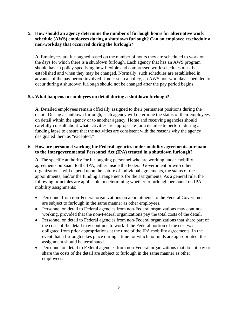## **non-workday that occurred during the furlough? 5. How should an agency determine the number of furlough hours for alternative work schedule (AWS) employees during a shutdown furlough? Can an employee reschedule a**

**A.** Employees are furloughed based on the number of hours they are scheduled to work on the days for which there is a shutdown furlough. Each agency that has an AWS program should have a policy specifying how flexible and compressed work schedules must be established and when they may be changed. Normally, such schedules are established in advance of the pay period involved. Under such a policy, an AWS non-workday scheduled to occur during a shutdown furlough should not be changed after the pay period begins.

#### **5a. What happens to employees on detail during a shutdown furlough?**

**A.** Detailed employees remain officially assigned to their permanent positions during the detail. During a shutdown furlough, each agency will determine the status of their employees on detail within the agency or to another agency. Home and receiving agencies should carefully consult about what activities are appropriate for a detailee to perform during a funding lapse to ensure that the activities are consistent with the reasons why the agency designated them as "excepted."

## **6. How are personnel working for Federal agencies under mobility agreements pursuant to the Intergovernmental Personnel Act (IPA) treated in a shutdown furlough?**

**A.** The specific authority for furloughing personnel who are working under mobility agreements pursuant to the IPA, either inside the Federal Government or with other organizations, will depend upon the nature of individual agreements, the status of the appointments, and/or the funding arrangements for the assignments. As a general rule, the following principles are applicable in determining whether to furlough personnel on IPA mobility assignments:

- Personnel from non-Federal organizations on appointments to the Federal Government are subject to furlough in the same manner as other employees.
- Personnel on detail to Federal agencies from non-Federal organizations may continue working, provided that the non-Federal organizations pay the total costs of the detail.
- Personnel on detail to Federal agencies from non-Federal organizations that share part of the costs of the detail may continue to work if the Federal portion of the cost was obligated from prior appropriations at the time of the IPA mobility agreements. In the event that a furlough takes place during a time for which no funds are appropriated, the assignment should be terminated.
- Personnel on detail to Federal agencies from non-Federal organizations that do not pay or share the costs of the detail are subject to furlough in the same manner as other employees.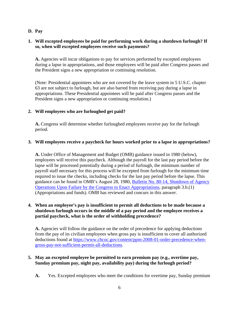## <span id="page-7-0"></span>**D. Pay**

## **1. Will excepted employees be paid for performing work during a shutdown furlough? If so, when will excepted employees receive such payments?**

**A.** Agencies will incur obligations to pay for services performed by excepted employees during a lapse in appropriations, and those employees will be paid after Congress passes and the President signs a new appropriation or continuing resolution.

(Note: Presidential appointees who are not covered by the leave system in 5 U.S.C. chapter 63 are not subject to furlough, but are also barred from receiving pay during a lapse in appropriations. These Presidential appointees will be paid after Congress passes and the President signs a new appropriation or continuing resolution.)

## **2. Will employees who are furloughed get paid?**

**A.** Congress will determine whether furloughed employees receive pay for the furlough period.

## **3. Will employees receive a paycheck for hours worked prior to a lapse in appropriations?**

**A.** Under Office of Management and Budget (OMB) guidance issued in 1980 (below), employees will receive this paycheck. Although the payroll for the last pay period before the lapse will be processed potentially during a period of furlough, the minimum number of payroll staff necessary for this process will be excepted from furlough for the minimum time required to issue the checks, including checks for the last pay period before the lapse. This guidance can be found in OMB's August 28, 1980, [Bulletin No. 80-14, Shutdown of Agency](http://www.opm.gov/policy-data-oversight/pay-leave/furlough-guidance/attachment_a-5.pdf)  [Operations Upon Failure by the Congress to Enact Appropriations,](http://www.opm.gov/policy-data-oversight/pay-leave/furlough-guidance/attachment_a-5.pdf) paragraph 3.b.(1) (Appropriations and funds). OMB has reviewed and concurs in this answer.

## **4. When an employee's pay is insufficient to permit all deductions to be made because a shutdown furlough occurs in the middle of a pay period and the employee receives a partial paycheck, what is the order of withholding precedence?**

**A.** Agencies will follow the guidance on the order of precedence for applying deductions from the pay of its civilian employees when gross pay is insufficient to cover all authorized deductions found at [https://www.chcoc.gov/content/ppm-2008-01-order-precedence-when](https://www.chcoc.gov/content/ppm-2008-01-order-precedence-when-gross-pay-not-sufficient-permit-all-deductions)[gross-pay-not-sufficient-permit-all-deductions.](https://www.chcoc.gov/content/ppm-2008-01-order-precedence-when-gross-pay-not-sufficient-permit-all-deductions)

## **5. May an excepted employee be permitted to earn premium pay (e.g., overtime pay, Sunday premium pay, night pay, availability pay) during the furlough period?**

**A.** Yes. Excepted employees who meet the conditions for overtime pay, Sunday premium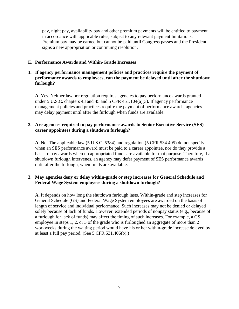pay, night pay, availability pay and other premium payments will be entitled to payment in accordance with applicable rules, subject to any relevant payment limitations. Premium pay may be earned but cannot be paid until Congress passes and the President signs a new appropriation or continuing resolution.

## <span id="page-8-0"></span>**E. Performance Awards and Within-Grade Increases**

## **1. If agency performance management policies and practices require the payment of performance awards to employees, can the payment be delayed until after the shutdown furlough?**

**A.** Yes. Neither law nor regulation requires agencies to pay performance awards granted under 5 U.S.C. chapters 43 and 45 and 5 CFR 451.104(a)(3). If agency performance management policies and practices require the payment of performance awards, agencies may delay payment until after the furlough when funds are available.

#### **2. Are agencies required to pay performance awards to Senior Executive Service (SES) career appointees during a shutdown furlough?**

**A.** No. The applicable law (5 U.S.C. 5384) and regulation (5 CFR 534.405) do not specify when an SES performance award must be paid to a career appointee, nor do they provide a basis to pay awards when no appropriated funds are available for that purpose. Therefore, if a shutdown furlough intervenes, an agency may defer payment of SES performance awards until after the furlough, when funds are available.

## **3. May agencies deny or delay within-grade or step increases for General Schedule and Federal Wage System employees during a shutdown furlough?**

<span id="page-8-1"></span>**A.** It depends on how long the shutdown furlough lasts. Within-grade and step increases for General Schedule (GS) and Federal Wage System employees are awarded on the basis of length of service and individual performance. Such increases may not be denied or delayed solely because of lack of funds. However, extended periods of nonpay status (e.g., because of a furlough for lack of funds) may affect the timing of such increases. For example, a GS employee in steps 1, 2, or 3 of the grade who is furloughed an aggregate of more than 2 workweeks during the waiting period would have his or her within-grade increase delayed by at least a full pay period. (See 5 CFR 531.406(b).)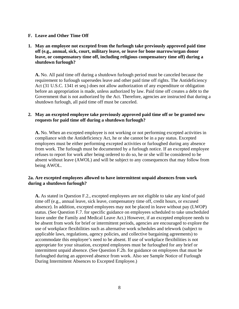#### **F. Leave and Other Time Off**

## **1. May an employee not excepted from the furlough take previously approved paid time off (e.g., annual, sick, court, military leave, or leave for bone marrow/organ donor leave, or compensatory time off, including religious compensatory time off) during a shutdown furlough?**

**A.** No. All paid time off during a shutdown furlough period must be canceled because the requirement to furlough supersedes leave and other paid time off rights. The Antideficiency Act (31 U.S.C. 1341 et seq.) does not allow authorization of any expenditure or obligation before an appropriation is made, unless authorized by law. Paid time off creates a debt to the Government that is not authorized by the Act. Therefore, agencies are instructed that during a shutdown furlough, all paid time off must be canceled.

## **2. May an excepted employee take previously approved paid time off or be granted new requests for paid time off during a shutdown furlough?**

**A.** No. When an excepted employee is not working or not performing excepted activities in compliance with the Antideficiency Act, he or she cannot be in a pay status. Excepted employees must be either performing excepted activities or furloughed during any absence from work. The furlough must be documented by a furlough notice. If an excepted employee refuses to report for work after being ordered to do so, he or she will be considered to be absent without leave (AWOL) and will be subject to any consequences that may follow from being AWOL.

## **2a. Are excepted employees allowed to have intermittent unpaid absences from work during a shutdown furlough?**

**A.** As stated in Question F.2., excepted employees are not eligible to take any kind of paid time off (e.g., annual leave, sick leave, compensatory time off, credit hours, or excused absence). In addition, excepted employees may not be placed in leave without pay (LWOP) status. (See Question F.7. for specific guidance on employees scheduled to take unscheduled leave under the Family and Medical Leave Act.) However, if an excepted employee needs to be absent from work for brief or intermittent periods, agencies are encouraged to explore the use of workplace flexibilities such as alternative work schedules and telework (subject to applicable laws, regulations, agency policies, and collective bargaining agreements) to accommodate this employee's need to be absent. If use of workplace flexibilities is not appropriate for your situation, excepted employees must be furloughed for any brief or intermittent unpaid absence. (See Question F.2b. for guidance on employees that must be furloughed during an approved absence from work. Also see Sample Notice of Furlough During Intermittent Absences to Excepted Employee.)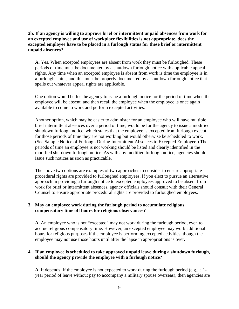**2b. If an agency is willing to approve brief or intermittent unpaid absences from work for an excepted employee and use of workplace flexibilities is not appropriate, does the excepted employee have to be placed in a furlough status for these brief or intermittent unpaid absences?**

**A.** Yes. When excepted employees are absent from work they must be furloughed. These periods of time must be documented by a shutdown furlough notice with applicable appeal rights. Any time when an excepted employee is absent from work is time the employee is in a furlough status, and this must be properly documented by a shutdown furlough notice that spells out whatever appeal rights are applicable.

One option would be for the agency to issue a furlough notice for the period of time when the employee will be absent, and then recall the employee when the employee is once again available to come to work and perform excepted activities.

Another option, which may be easier to administer for an employee who will have multiple brief intermittent absences over a period of time, would be for the agency to issue a modified shutdown furlough notice, which states that the employee is excepted from furlough except for those periods of time they are not working but would otherwise be scheduled to work. (See Sample Notice of Furlough During Intermittent Absences to Excepted Employee.) The periods of time an employee is not working should be listed and clearly identified in the modified shutdown furlough notice. As with any modified furlough notice, agencies should issue such notices as soon as practicable.

The above two options are examples of two approaches to consider to ensure appropriate procedural rights are provided to furloughed employees. If you elect to pursue an alternative approach in providing a furlough notice to excepted employees approved to be absent from work for brief or intermittent absences, agency officials should consult with their General Counsel to ensure appropriate procedural rights are provided to furloughed employees.

## **3. May an employee work during the furlough period to accumulate religious compensatory time off hours for religious observances?**

**A.** An employee who is not "excepted" may not work during the furlough period, even to accrue religious compensatory time. However, an excepted employee may work additional hours for religious purposes if the employee is performing excepted activities, though the employee may not use those hours until after the lapse in appropriations is over.

## **4. If an employee is scheduled to take approved unpaid leave during a shutdown furlough, should the agency provide the employee with a furlough notice?**

**A.** It depends. If the employee is not expected to work during the furlough period (e.g., a 1 year period of leave without pay to accompany a military spouse overseas), then agencies are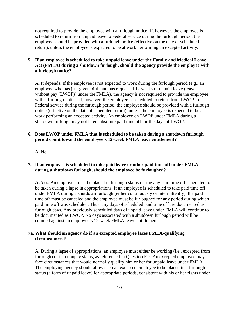not required to provide the employee with a furlough notice. If, however, the employee is scheduled to return from unpaid leave to Federal service during the furlough period, the employee should be provided with a furlough notice (effective on the date of scheduled return), unless the employee is expected to be at work performing an excepted activity.

## **5. If an employee is scheduled to take unpaid leave under the Family and Medical Leave Act (FMLA) during a shutdown furlough, should the agency provide the employee with a furlough notice?**

**A.** It depends. If the employee is not expected to work during the furlough period (e.g., an employee who has just given birth and has requested 12 weeks of unpaid leave (leave without pay (LWOP)) under the FMLA), the agency is not required to provide the employee with a furlough notice. If, however, the employee is scheduled to return from LWOP to Federal service during the furlough period, the employee should be provided with a furlough notice (effective on the date of scheduled return), unless the employee is expected to be at work performing an excepted activity. An employee on LWOP under FMLA during a shutdown furlough may not later substitute paid time off for the days of LWOP.

## **6. Does LWOP under FMLA that is scheduled to be taken during a shutdown furlough period count toward the employee's 12-week FMLA leave entitlement?**

**A.** No.

#### **7. If an employee is scheduled to take paid leave or other paid time off under FMLA during a shutdown furlough, should the employee be furloughed?**

**A.** Yes. An employee must be placed in furlough status during any paid time off scheduled to be taken during a lapse in appropriations. If an employee is scheduled to take paid time off under FMLA during a shutdown furlough (either continuously or intermittently), the paid time off must be canceled and the employee must be furloughed for any period during which paid time off was scheduled. Thus, any days of scheduled paid time off are documented as furlough days. Any previously scheduled days of unpaid leave under FMLA will continue to be documented as LWOP. No days associated with a shutdown furlough period will be counted against an employee's 12-week FMLA leave entitlement.

## **7a. What should an agency do if an excepted employee faces FMLA-qualifying circumstances?**

A. During a lapse of appropriations, an employee must either be working (i.e., excepted from furlough) or in a nonpay status, as referenced in Question F.7. An excepted employee may face circumstances that would normally qualify him or her for unpaid leave under FMLA. The employing agency should allow such an excepted employee to be placed in a furlough status (a form of unpaid leave) for appropriate periods, consistent with his or her rights under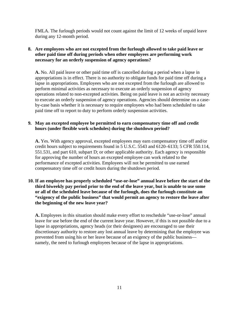FMLA. The furlough periods would not count against the limit of 12 weeks of unpaid leave during any 12-month period.

## **8. Are employees who are not excepted from the furlough allowed to take paid leave or other paid time off during periods when other employees are performing work necessary for an orderly suspension of agency operations?**

**A.** No. All paid leave or other paid time off is cancelled during a period when a lapse in appropriations is in effect. There is no authority to obligate funds for paid time off during a lapse in appropriations. Employees who are not excepted from the furlough are allowed to perform minimal activities as necessary to execute an orderly suspension of agency operations related to non-excepted activities. Being on paid leave is not an activity necessary to execute an orderly suspension of agency operations. Agencies should determine on a caseby-case basis whether it is necessary to require employees who had been scheduled to take paid time off to report to duty to perform orderly suspension activities.

## **9. May an excepted employee be permitted to earn compensatory time off and credit hours (under flexible work schedules) during the shutdown period?**

**A.** Yes. With agency approval, excepted employees may earn compensatory time off and/or credit hours subject to requirements found in 5 U.S.C. 5543 and 6120–6133; 5 CFR 550.114, 551.531, and part 610, subpart D; or other applicable authority. Each agency is responsible for approving the number of hours an excepted employee can work related to the performance of excepted activities. Employees will not be permitted to use earned compensatory time off or credit hours during the shutdown period.

## **10. If an employee has properly scheduled "use-or-lose" annual leave before the start of the third biweekly pay period prior to the end of the leave year, but is unable to use some or all of the scheduled leave because of the furlough, does the furlough constitute an "exigency of the public business" that would permit an agency to restore the leave after the beginning of the new leave year?**

**A.** Employees in this situation should make every effort to reschedule "use-or-lose" annual leave for use before the end of the current leave year. However, if this is not possible due to a lapse in appropriations, agency heads (or their designees) are encouraged to use their discretionary authority to restore any lost annual leave by determining that the employee was prevented from using his or her leave because of an exigency of the public business namely, the need to furlough employees because of the lapse in appropriations.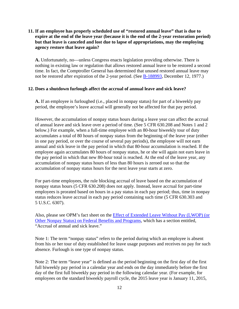## **11. If an employee has properly scheduled use of "restored annual leave" that is due to expire at the end of the leave year (because it is the end of the 2-year restoration period) but that leave is canceled and lost due to lapse of appropriations, may the employing agency restore that leave again?**

**A.** Unfortunately, no—unless Congress enacts legislation providing otherwise. There is nothing in existing law or regulation that allows restored annual leave to be restored a second time. In fact, the Comptroller General has determined that unused restored annual leave may not be restored after expiration of the 2-year period. (See [B-188993,](http://www.gao.gov/products/458670) December 12, 1977.)

#### **12. Does a shutdown furlough affect the accrual of annual leave and sick leave?**

**A.** If an employee is furloughed (i.e., placed in nonpay status) for part of a biweekly pay period, the employee's leave accrual will generally not be affected for that pay period.

However, the accumulation of nonpay status hours during a leave year can affect the accrual of annual leave and sick leave over a period of time. (See 5 CFR 630.208 and Notes 1 and 2 below.) For example, when a full-time employee with an 80-hour biweekly tour of duty accumulates a total of 80 hours of nonpay status from the beginning of the leave year (either in one pay period, or over the course of several pay periods), the employee will not earn annual and sick leave in the pay period in which that 80-hour accumulation is reached. If the employee again accumulates 80 hours of nonpay status, he or she will again not earn leave in the pay period in which that new 80-hour total is reached. At the end of the leave year, any accumulation of nonpay status hours of less than 80 hours is zeroed out so that the accumulation of nonpay status hours for the next leave year starts at zero.

For part-time employees, the rule blocking accrual of leave based on the accumulation of nonpay status hours (5 CFR 630.208) does not apply. Instead, leave accrual for part-time employees is prorated based on hours in a pay status in each pay period; thus, time in nonpay status reduces leave accrual in each pay period containing such time (5 CFR 630.303 and 5 U.S.C. 6307).

Also, please see OPM's fact sheet on the [Effect of Extended Leave Without Pay \(LWOP\) \(or](http://www.opm.gov/policy-data-oversight/pay-leave/leave-administration/fact-sheets/effect-of-extended-leave-without-pay-lwop-or-other-nonpay-status-on-federal-benefits-and-programs/)  [Other Nonpay Status\) on Federal Benefits and Programs,](http://www.opm.gov/policy-data-oversight/pay-leave/leave-administration/fact-sheets/effect-of-extended-leave-without-pay-lwop-or-other-nonpay-status-on-federal-benefits-and-programs/) which has a section entitled, "Accrual of annual and sick leave."

Note 1: The term "nonpay status" refers to the period during which an employee is absent from his or her tour of duty established for leave usage purposes and receives no pay for such absence. Furlough is one type of nonpay status.

Note 2: The term "leave year" is defined as the period beginning on the first day of the first full biweekly pay period in a calendar year and ends on the day immediately before the first day of the first full biweekly pay period in the following calendar year. (For example, for employees on the standard biweekly payroll cycle, the 2015 leave year is January 11, 2015,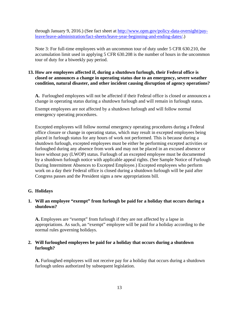through January 9, 2016.) (See fact sheet at [http://www.opm.gov/policy-data-oversight/pay](http://www.opm.gov/policy-data-oversight/pay-leave/leave-administration/fact-sheets/leave-year-beginning-and-ending-dates/)[leave/leave-administration/fact-sheets/leave-year-beginning-and-ending-dates/.](http://www.opm.gov/policy-data-oversight/pay-leave/leave-administration/fact-sheets/leave-year-beginning-and-ending-dates/))

Note 3: For full-time employees with an uncommon tour of duty under 5 CFR 630.210, the accumulation limit used in applying 5 CFR 630.208 is the number of hours in the uncommon tour of duty for a biweekly pay period.

## **13. How are employees affected if, during a shutdown furlough, their Federal office is closed or announces a change in operating status due to an emergency, severe weather condition, natural disaster, and other incident causing disruption of agency operations?**

**A.** Furloughed employees will not be affected if their Federal office is closed or announces a change in operating status during a shutdown furlough and will remain in furlough status.

Exempt employees are not affected by a shutdown furlough and will follow normal emergency operating procedures.

Excepted employees will follow normal emergency operating procedures during a Federal office closure or change in operating status, which may result in excepted employees being placed in furlough status for any hours of work not performed. This is because during a shutdown furlough, excepted employees must be either be performing excepted activities or furloughed during any absence from work and may not be placed in an excused absence or leave without pay (LWOP) status. Furlough of an excepted employee must be documented by a shutdown furlough notice with applicable appeal rights. (See Sample Notice of Furlough During Intermittent Absences to Excepted Employee.) Excepted employees who perform work on a day their Federal office is closed during a shutdown furlough will be paid after Congress passes and the President signs a new appropriations bill.

## <span id="page-14-0"></span>**G. Holidays**

## **1. Will an employee "exempt" from furlough be paid for a holiday that occurs during a shutdown?**

**A.** Employees are "exempt" from furlough if they are not affected by a lapse in appropriations. As such, an "exempt" employee will be paid for a holiday according to the normal rules governing holidays.

## **2. Will furloughed employees be paid for a holiday that occurs during a shutdown furlough?**

**A.** Furloughed employees will not receive pay for a holiday that occurs during a shutdown furlough unless authorized by subsequent legislation.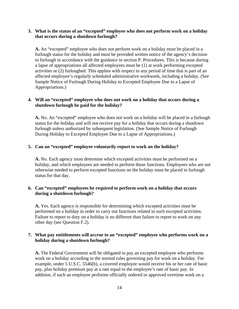## **3. What is the status of an "excepted" employee who does not perform work on a holiday that occurs during a shutdown furlough?**

**A.** An "excepted" employee who does not perform work on a holiday must be placed in a furlough status for the holiday and must be provided written notice of the agency's decision to furlough in accordance with the guidance in section P. Procedures. This is because during a lapse of appropriations all affected employees must be (1) at work performing excepted activities or (2) furloughed. This applies with respect to any period of time that is part of an affected employee's regularly scheduled administrative workweek, including a holiday. (See Sample Notice of Furlough During Holiday to Excepted Employee Due to a Lapse of Appropriations.)

## **4. Will an "excepted" employee who does not work on a holiday that occurs during a shutdown furlough be paid for the holiday?**

**A.** No. An "excepted" employee who does not work on a holiday will be placed in a furlough status for the holiday and will not receive pay for a holiday that occurs during a shutdown furlough unless authorized by subsequent legislation. (See Sample Notice of Furlough During Holiday to Excepted Employee Due to a Lapse of Appropriations.)

#### **5. Can an "excepted" employee voluntarily report to work on the holiday?**

**A.** No. Each agency must determine which excepted activities must be performed on a holiday, and which employees are needed to perform those functions. Employees who are not otherwise needed to perform excepted functions on the holiday must be placed in furlough status for that day.

#### **6. Can "excepted" employees be required to perform work on a holiday that occurs during a shutdown furlough?**

**A.** Yes. Each agency is responsible for determining which excepted activities must be performed on a holiday in order to carry out functions related to such excepted activities. Failure to report to duty on a holiday is no different than failure to report to work on any other day (see Question F.2).

#### **7. What pay entitlements will accrue to an "excepted" employee who performs work on a holiday during a shutdown furlough?**

**A.** The Federal Government will be obligated to pay an excepted employee who performs work on a holiday according to the normal rules governing pay for work on a holiday. For example, under 5 U.S.C. 5546(b), a covered employee would receive his or her rate of basic pay, plus holiday premium pay at a rate equal to the employee's rate of basic pay. In addition, if such an employee performs officially ordered or approved overtime work on a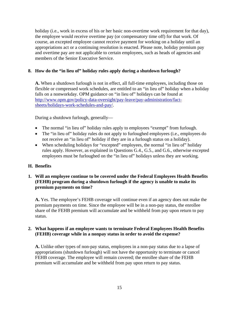holiday (i.e., work in excess of his or her basic non-overtime work requirement for that day), the employee would receive overtime pay (or compensatory time off) for that work. Of course, an excepted employee cannot receive payment for working on a holiday until an appropriations act or a continuing resolution is enacted. Please note, holiday premium pay and overtime pay are not applicable to certain employees, such as heads of agencies and members of the Senior Executive Service.

## **8. How do the "in lieu of" holiday rules apply during a shutdown furlough?**

**A.** When a shutdown furlough is not in effect, all full-time employees, including those on flexible or compressed work schedules, are entitled to an "in lieu of" holiday when a holiday falls on a nonworkday. OPM guidance on "in lieu of" holidays can be found at [http://www.opm.gov/policy-data-oversight/pay-leave/pay-administration/fact](http://www.opm.gov/policy-data-oversight/pay-leave/pay-administration/fact-sheets/holidays-work-schedules-and-pay/)[sheets/holidays-work-schedules-and-pay/.](http://www.opm.gov/policy-data-oversight/pay-leave/pay-administration/fact-sheets/holidays-work-schedules-and-pay/)

During a shutdown furlough, generally—

- The normal "in lieu of" holiday rules apply to employees "exempt" from furlough.
- The "in lieu of" holiday rules do not apply to furloughed employees (i.e., employees do not receive an "in lieu of" holiday if they are in a furlough status on a holiday).
- When scheduling holidays for "excepted" employees, the normal "in lieu of" holiday rules apply. However, as explained in Questions G.4., G.5., and G.6., otherwise excepted employees must be furloughed on the "in lieu of" holidays unless they are working.

## <span id="page-16-0"></span>**H. Benefits**

## **1. Will an employee continue to be covered under the Federal Employees Health Benefits (FEHB) program during a shutdown furlough if the agency is unable to make its premium payments on time?**

**A.** Yes. The employee's FEHB coverage will continue even if an agency does not make the premium payments on time. Since the employee will be in a non-pay status, the enrollee share of the FEHB premium will accumulate and be withheld from pay upon return to pay status.

#### **2. What happens if an employee wants to terminate Federal Employees Health Benefits (FEHB) coverage while in a nonpay status in order to avoid the expense?**

**A.** Unlike other types of non-pay status, employees in a non-pay status due to a lapse of appropriations (shutdown furlough) will not have the opportunity to terminate or cancel FEHB coverage. The employee will remain covered; the enrollee share of the FEHB premium will accumulate and be withheld from pay upon return to pay status.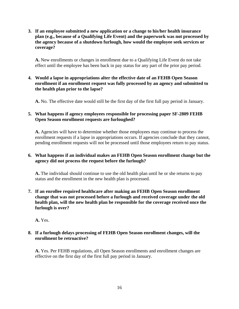**3. If an employee submitted a new application or a change to his/her health insurance plan (e.g., because of a Qualifying Life Event) and the paperwork was not processed by the agency because of a shutdown furlough, how would the employee seek services or coverage?**

**A.** New enrollments or changes in enrollment due to a Qualifying Life Event do not take effect until the employee has been back in pay status for any part of the prior pay period.

## **4. Would a lapse in appropriations alter the effective date of an FEHB Open Season enrollment if an enrollment request was fully processed by an agency and submitted to the health plan prior to the lapse?**

**A.** No. The effective date would still be the first day of the first full pay period in January.

## **5. What happens if agency employees responsible for processing paper SF-2809 FEHB Open Season enrollment requests are furloughed?**

**A.** Agencies will have to determine whether those employees may continue to process the enrollment requests if a lapse in appropriations occurs. If agencies conclude that they cannot, pending enrollment requests will not be processed until those employees return to pay status.

## **6. What happens if an individual makes an FEHB Open Season enrollment change but the agency did not process the request before the furlough?**

**A.** The individual should continue to use the old health plan until he or she returns to pay status and the enrollment in the new health plan is processed.

**7. If an enrollee required healthcare after making an FEHB Open Season enrollment change that was not processed before a furlough and received coverage under the old health plan, will the new health plan be responsible for the coverage received once the furlough is over?**

**A.** Yes.

## **8. If a furlough delays processing of FEHB Open Season enrollment changes, will the enrollment be retroactive?**

**A.** Yes. Per FEHB regulations, all Open Season enrollments and enrollment changes are effective on the first day of the first full pay period in January.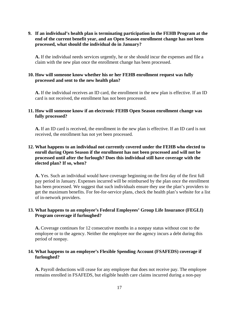## **9. If an individual's health plan is terminating participation in the FEHB Program at the end of the current benefit year, and an Open Season enrollment change has not been processed, what should the individual do in January?**

**A.** If the individual needs services urgently, he or she should incur the expenses and file a claim with the new plan once the enrollment change has been processed.

## **10. How will someone know whether his or her FEHB enrollment request was fully processed and sent to the new health plan?**

**A.** If the individual receives an ID card, the enrollment in the new plan is effective. If an ID card is not received, the enrollment has not been processed.

## **11. How will someone know if an electronic FEHB Open Season enrollment change was fully processed?**

**A.** If an ID card is received, the enrollment in the new plan is effective. If an ID card is not received, the enrollment has not yet been processed.

## **12. What happens to an individual not currently covered under the FEHB who elected to enroll during Open Season if the enrollment has not been processed and will not be processed until after the furlough? Does this individual still have coverage with the elected plan? If so, when?**

**A.** Yes. Such an individual would have coverage beginning on the first day of the first full pay period in January. Expenses incurred will be reimbursed by the plan once the enrollment has been processed. We suggest that such individuals ensure they use the plan's providers to get the maximum benefits. For fee-for-service plans, check the health plan's website for a list of in-network providers.

## **13. What happens to an employee's Federal Employees' Group Life Insurance (FEGLI) Program coverage if furloughed?**

**A.** Coverage continues for 12 consecutive months in a nonpay status without cost to the employee or to the agency. Neither the employee nor the agency incurs a debt during this period of nonpay.

## **14. What happens to an employee's Flexible Spending Account (FSAFEDS) coverage if furloughed?**

**A.** Payroll deductions will cease for any employee that does not receive pay. The employee remains enrolled in FSAFEDS, but eligible health care claims incurred during a non-pay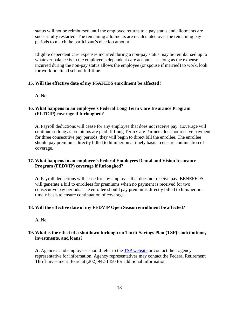status will not be reimbursed until the employee returns to a pay status and allotments are successfully restarted. The remaining allotments are recalculated over the remaining pay periods to match the participant's election amount.

Eligible dependent care expenses incurred during a non-pay status may be reimbursed up to whatever balance is in the employee's dependent care account—as long as the expense incurred during the non-pay status allows the employee (or spouse if married) to work, look for work or attend school full-time.

## **15. Will the effective date of my FSAFEDS enrollment be affected?**

**A.** No.

## **16. What happens to an employee's Federal Long Term Care Insurance Program (FLTCIP) coverage if furloughed?**

**A.** Payroll deductions will cease for any employee that does not receive pay. Coverage will continue so long as premiums are paid. If Long Term Care Partners does not receive payment for three consecutive pay periods, they will begin to direct bill the enrollee. The enrollee should pay premiums directly billed to him/her on a timely basis to ensure continuation of coverage.

## **17. What happens to an employee's Federal Employees Dental and Vision Insurance Program (FEDVIP) coverage if furloughed?**

**A.** Payroll deductions will cease for any employee that does not receive pay. BENEFEDS will generate a bill to enrollees for premiums when no payment is received for two consecutive pay periods. The enrollee should pay premiums directly billed to him/her on a timely basis to ensure continuation of coverage.

## **18. Will the effective date of my FEDVIP Open Season enrollment be affected?**

**A.** No.

## **19. What is the effect of a shutdown furlough on Thrift Savings Plan (TSP) contributions, investments, and loans?**

A. Agencies and employees should refer to the **TSP** website or contact their agency representative for information. Agency representatives may contact the Federal Retirement Thrift Investment Board at (202) 942-1450 for additional information.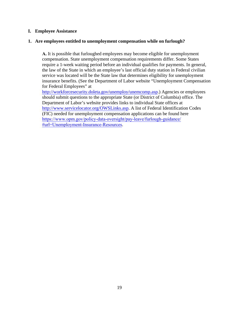#### <span id="page-20-0"></span>**I. Employee Assistance**

#### **1. Are employees entitled to unemployment compensation while on furlough?**

**A.** It is possible that furloughed employees may become eligible for unemployment compensation. State unemployment compensation requirements differ. Some States require a 1-week waiting period before an individual qualifies for payments. In general, the law of the State in which an employee's last official duty station in Federal civilian service was located will be the State law that determines eligibility for unemployment insurance benefits. (See the Department of Labor website "Unemployment Compensation for Federal Employees" at

[http://workforcesecurity.doleta.gov/unemploy/unemcomp.asp.](http://workforcesecurity.doleta.gov/unemploy/unemcomp.asp)) Agencies or employees should submit questions to the appropriate State (or District of Columbia) office. The Department of Labor's website provides links to individual State offices at [http://www.servicelocator.org/OWSLinks.asp.](http://www.servicelocator.org/OWSLinks.asp) A list of Federal Identification Codes (FIC) needed for unemployment compensation applications can be found here [https://www.opm.gov/policy-data-oversight/pay-leave/furlough-guidance/](https://www.opm.gov/policy-data-oversight/pay-leave/furlough-guidance/#url=Unemployment-Insurance-Resources) #url=Unemployment-Insurance-Resources.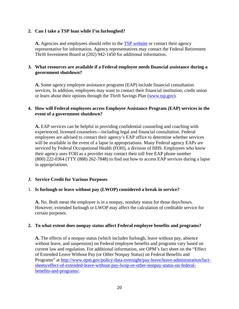## **2. Can I take a TSP loan while I'm furloughed?**

**A.** Agencies and employees should refer to the [TSP website](https://www.tsp.gov/index.shtml) or contact their agency representative for information. Agency representatives may contact the Federal Retirement Thrift Investment Board at (202) 942-1450 for additional information.

## **3. What resources are available if a Federal employee needs financial assistance during a government shutdown?**

**A.** Some agency employee assistance programs (EAP) include financial consultation services. In addition, employees may want to contact their financial institution, credit union or learn about their options through the Thrift Savings Plan [\(www.tsp.gov\)](http://www.tsp.gov/).

#### **4. How will Federal employees access Employee Assistance Program (EAP) services in the event of a government shutdown?**

**A.** EAP services can be helpful in providing confidential counseling and coaching with experienced, licensed counselors—including legal and financial consultation. Federal employees are advised to contact their agency's EAP office to determine whether services will be available in the event of a lapse in appropriations. Many Federal agency EAPs are serviced by Federal Occupational Health (FOH), a division of HHS. Employees who know their agency uses FOH as a provider may contact their toll free EAP phone number (800) 222-0364 (TTY (888) 262-7848) to find out how to access EAP services during a lapse in appropriations.

## <span id="page-21-0"></span>**J. Service Credit for Various Purposes**

#### 1. **Is furlough or leave without pay (LWOP) considered a break in service?**

**A.** No. Both mean the employee is in a nonpay, nonduty status for those days/hours. However, extended furlough or LWOP may affect the calculation of creditable service for certain purposes.

#### **2. To what extent does nonpay status affect Federal employee benefits and programs?**

**A.** The effects of a nonpay status (which includes furlough, leave without pay, absence without leave, and suspension) on Federal employee benefits and programs vary based on current law and regulation. For additional information, see OPM's fact sheet on the "Effect of Extended Leave Without Pay (or Other Nonpay Status) on Federal Benefits and Programs" at [http://www.opm.gov/policy-data-oversight/pay-leave/leave-administration/fact](http://www.opm.gov/policy-data-oversight/pay-leave/leave-administration/fact-sheets/effect-of-extended-leave-without-pay-lwop-or-other-nonpay-status-on-federal-benefits-and-programs/)[sheets/effect-of-extended-leave-without-pay-lwop-or-other-nonpay-status-on-federal](http://www.opm.gov/policy-data-oversight/pay-leave/leave-administration/fact-sheets/effect-of-extended-leave-without-pay-lwop-or-other-nonpay-status-on-federal-benefits-and-programs/)[benefits-and-programs/.](http://www.opm.gov/policy-data-oversight/pay-leave/leave-administration/fact-sheets/effect-of-extended-leave-without-pay-lwop-or-other-nonpay-status-on-federal-benefits-and-programs/)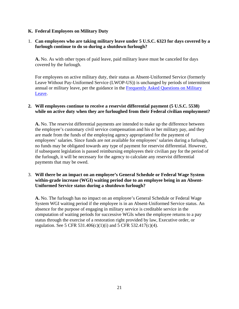## <span id="page-22-0"></span>**K. Federal Employees on Military Duty**

## 1. **Can employees who are taking military leave under 5 U.S.C. 6323 for days covered by a furlough continue to do so during a shutdown furlough?**

**A.** No. As with other types of paid leave, paid military leave must be canceled for days covered by the furlough.

For employees on active military duty, their status as Absent-Uniformed Service (formerly Leave Without Pay-Uniformed Service (LWOP-US)) is unchanged by periods of intermittent annual or military leave, per the guidance in the Frequently Asked Questions on Military [Leave.](http://www.opm.gov/faqs/topic/payleave/index.aspx?cid=f24794b1-dc27-41d8-b4e0-255cefc2c817)

#### **2. Will employees continue to receive a reservist differential payment (5 U.S.C. 5538) while on active duty when they are furloughed from their Federal civilian employment?**

**A.** No. The reservist differential payments are intended to make up the difference between the employee's customary civil service compensation and his or her military pay, and they are made from the funds of the employing agency appropriated for the payment of employees' salaries. Since funds are not available for employees' salaries during a furlough, no funds may be obligated towards any type of payment for reservist differential. However, if subsequent legislation is passed reimbursing employees their civilian pay for the period of the furlough, it will be necessary for the agency to calculate any reservist differential payments that may be owed.

## 3. **Will there be an impact on an employee's General Schedule or Federal Wage System within-grade increase (WGI) waiting period due to an employee being in an Absent-Uniformed Service status during a shutdown furlough?**

**A.** No. The furlough has no impact on an employee's General Schedule or Federal Wage System WGI waiting period if the employee is in an Absent-Uniformed Service status. An absence for the purpose of engaging in military service is creditable service in the computation of waiting periods for successive WGIs when the employee returns to a pay status through the exercise of a restoration right provided by law, Executive order, or regulation. See 5 CFR 531.406(c)(1)(i) and 5 CFR 532.417(c)(4).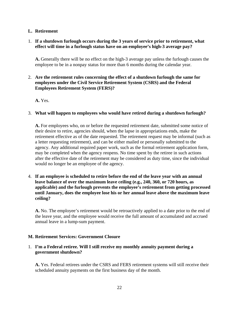#### <span id="page-23-0"></span>**L. Retirement**

## 1. **If a shutdown furlough occurs during the 3 years of service prior to retirement, what effect will time in a furlough status have on an employee's high-3 average pay?**

**A.** Generally there will be no effect on the high-3 average pay unless the furlough causes the employee to be in a nonpay status for more than 6 months during the calendar year.

## 2. **Are the retirement rules concerning the effect of a shutdown furlough the same for employees under the Civil Service Retirement System (CSRS) and the Federal Employees Retirement System (FERS)?**

**A.** Yes.

#### 3. **What will happen to employees who would have retired during a shutdown furlough?**

**A.** For employees who, on or before the requested retirement date, submitted some notice of their desire to retire, agencies should, when the lapse in appropriations ends, make the retirement effective as of the date requested. The retirement request may be informal (such as a letter requesting retirement), and can be either mailed or personally submitted to the agency. Any additional required paper work, such as the formal retirement application form, may be completed when the agency reopens. No time spent by the retiree in such actions after the effective date of the retirement may be considered as duty time, since the individual would no longer be an employee of the agency.

4. **If an employee is scheduled to retire before the end of the leave year with an annual leave balance of over the maximum leave ceiling (e.g., 240, 360, or 720 hours, as applicable) and the furlough prevents the employee's retirement from getting processed until January, does the employee lose his or her annual leave above the maximum leave ceiling?**

**A.** No. The employee's retirement would be retroactively applied to a date prior to the end of the leave year, and the employee would receive the full amount of accumulated and accrued annual leave in a lump-sum payment.

## <span id="page-23-1"></span>**M. Retirement Services: Government Closure**

## 1. **I'm a Federal retiree. Will I still receive my monthly annuity payment during a government shutdown?**

**A.** Yes. Federal retirees under the CSRS and FERS retirement systems will still receive their scheduled annuity payments on the first business day of the month.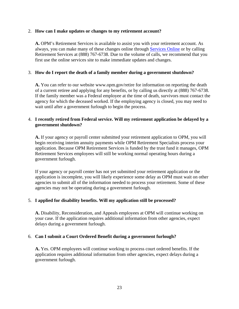#### 2. **How can I make updates or changes to my retirement account?**

**A.** OPM's Retirement Services is available to assist you with your retirement account. As always, you can make many of these changes online through [Services Online](https://www.servicesonline.opm.gov/) or by calling Retirement Services at (888) 767-6738. Due to the volume of calls, we recommend that you first use the online services site to make immediate updates and changes.

## 3. **How do I report the death of a family member during a government shutdown?**

**A.** You can refer to our website www.opm.gov/retire for information on reporting the death of a current retiree and applying for any benefits, or by calling us directly at (888) 767-6738. If the family member was a Federal employee at the time of death, survivors must contact the agency for which the deceased worked. If the employing agency is closed, you may need to wait until after a government furlough to begin the process.

## 4. **I recently retired from Federal service. Will my retirement application be delayed by a government shutdown?**

**A.** If your agency or payroll center submitted your retirement application to OPM, you will begin receiving interim annuity payments while OPM Retirement Specialists process your application. Because OPM Retirement Services is funded by the trust fund it manages, OPM Retirement Services employees will still be working normal operating hours during a government furlough.

If your agency or payroll center has not yet submitted your retirement application or the application is incomplete, you will likely experience some delay as OPM must wait on other agencies to submit all of the information needed to process your retirement. Some of these agencies may not be operating during a government furlough.

## 5. **I applied for disability benefits. Will my application still be processed?**

**A.** Disability, Reconsideration, and Appeals employees at OPM will continue working on your case. If the application requires additional information from other agencies, expect delays during a government furlough.

## 6. **Can I submit a Court Ordered Benefit during a government furlough?**

**A.** Yes. OPM employees will continue working to process court ordered benefits. If the application requires additional information from other agencies, expect delays during a government furlough.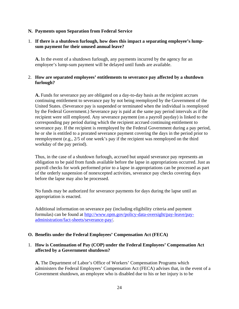#### <span id="page-25-0"></span>**N. Payments upon Separation from Federal Service**

## 1. **If there is a shutdown furlough, how does this impact a separating employee's lumpsum payment for their unused annual leave?**

**A.** In the event of a shutdown furlough, any payments incurred by the agency for an employee's lump-sum payment will be delayed until funds are available.

## 2. **How are separated employees' entitlements to severance pay affected by a shutdown furlough?**

**A.** Funds for severance pay are obligated on a day-to-day basis as the recipient accrues continuing entitlement to severance pay by not being reemployed by the Government of the United States. (Severance pay is suspended or terminated when the individual is reemployed by the Federal Government.) Severance pay is paid at the same pay period intervals as if the recipient were still employed. Any severance payment (on a payroll payday) is linked to the corresponding pay period during which the recipient accrued continuing entitlement to severance pay. If the recipient is reemployed by the Federal Government during a pay period, he or she is entitled to a prorated severance payment covering the days in the period prior to reemployment (e.g., 2/5 of one week's pay if the recipient was reemployed on the third workday of the pay period).

Thus, in the case of a shutdown furlough, accrued but unpaid severance pay represents an obligation to be paid from funds available before the lapse in appropriations occurred. Just as payroll checks for work performed prior to a lapse in appropriations can be processed as part of the orderly suspension of nonexcepted activities, severance pay checks covering days before the lapse may also be processed.

No funds may be authorized for severance payments for days during the lapse until an appropriation is enacted.

Additional information on severance pay (including eligibility criteria and payment formulas) can be found at [http://www.opm.gov/policy-data-oversight/pay-leave/pay](http://www.opm.gov/policy-data-oversight/pay-leave/pay-administration/fact-sheets/severance-pay/)[administration/fact-sheets/severance-pay/.](http://www.opm.gov/policy-data-oversight/pay-leave/pay-administration/fact-sheets/severance-pay/)

## <span id="page-25-1"></span>**O. Benefits under the Federal Employees' Compensation Act (FECA)**

## 1. **How is Continuation of Pay (COP) under the Federal Employees' Compensation Act affected by a Government shutdown?**

**A.** The Department of Labor's Office of Workers' Compensation Programs which administers the Federal Employees' Compensation Act (FECA) advises that, in the event of a Government shutdown, an employee who is disabled due to his or her injury is to be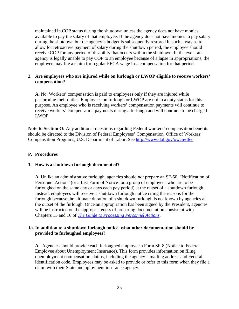maintained in COP status during the shutdown unless the agency does not have monies available to pay the salary of that employee. If the agency does not have monies to pay salary during the shutdown but the agency's budget is subsequently restored in such a way as to allow for retroactive payment of salary during the shutdown period, the employee should receive COP for any period of disability that occurs within the shutdown. In the event an agency is legally unable to pay COP to an employee because of a lapse in appropriations, the employee may file a claim for regular FECA wage loss compensation for that period.

## **2. Are employees who are injured while on furlough or LWOP eligible to receive workers' compensation?**

**A.** No. Workers' compensation is paid to employees only if they are injured while performing their duties. Employees on furlough or LWOP are not in a duty status for this purpose. An employee who is receiving workers' compensation payments will continue to receive workers' compensation payments during a furlough and will continue to be charged LWOP.

**Note to Section O:** Any additional questions regarding Federal workers' compensation benefits should be directed to the Division of Federal Employees' Compensation, Office of Workers' Compensation Programs, U.S. Department of Labor. See [http://www.dol.gov/owcp/dfec.](http://www.dol.gov/owcp/dfec)

#### <span id="page-26-0"></span>**P. Procedures**

#### **1. How is a shutdown furlough documented?**

**A.** Unlike an administrative furlough, agencies should *not* prepare an SF-50, "Notification of Personnel Action" (or a List Form of Notice for a group of employees who are to be furloughed on the same day or days each pay period) at the outset of a shutdown furlough. Instead, employees will receive a shutdown furlough notice citing the reasons for the furlough because the ultimate duration of a shutdown furlough is not known by agencies at the outset of the furlough. Once an appropriation has been signed by the President, agencies will be instructed on the appropriateness of preparing documentation consistent with Chapters 15 and 16 of *[The Guide to Processing Personnel Actions](https://www.opm.gov/policy-data-oversight/data-analysis-documentation/personnel-documentation#url=Processing-Personnel-Actions)*.

#### **1a. In addition to a shutdown furlough notice, what other documentation should be provided to furloughed employees?**

**A.** Agencies should provide each furloughed employee a Form SF-8 (Notice to Federal Employee about Unemployment Insurance). This form provides information on filing unemployment compensation claims, including the agency's mailing address and Federal identification code. Employees may be asked to provide or refer to this form when they file a claim with their State unemployment insurance agency.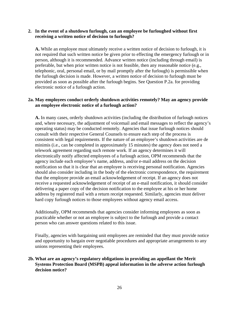#### **2. In the event of a shutdown furlough, can an employee be furloughed without first receiving a written notice of decision to furlough?**

**A.** While an employee must ultimately receive a written notice of decision to furlough, it is not required that such written notice be given prior to effecting the emergency furlough or in person, although it is recommended. Advance written notice (including through email) is preferable, but when prior written notice is not feasible, then any reasonable notice (e.g., telephonic, oral, personal email, or by mail promptly after the furlough) is permissible when the furlough decision is made. However, a written notice of decision to furlough must be provided as soon as possible after the furlough begins. See Question P.2a. for providing electronic notice of a furlough action.

## **2a. May employees conduct orderly shutdown activities remotely? May an agency provide an employee electronic notice of a furlough action?**

**A.** In many cases, orderly shutdown activities (including the distribution of furlough notices and, where necessary, the adjustment of voicemail and email messages to reflect the agency's operating status) may be conducted remotely. Agencies that issue furlough notices should consult with their respective General Counsels to ensure each step of the process is consistent with legal requirements. If the nature of an employee's shutdown activities are de minimis (i.e., can be completed in approximately 15 minutes) the agency does not need a telework agreement regarding such remote work. If an agency determines it will electronically notify affected employees of a furlough action, OPM recommends that the agency include each employee's name, address, and/or e-mail address on the decision notification so that it is clear that an employee is receiving personal notification. Agencies should also consider including in the body of the electronic correspondence, the requirement that the employee provide an email acknowledgement of receipt. If an agency does not receive a requested acknowledgement of receipt of an e-mail notification, it should consider delivering a paper copy of the decision notification to the employee at his or her home address by registered mail with a return receipt requested. Similarly, agencies must deliver hard copy furlough notices to those employees without agency email access.

Additionally, OPM recommends that agencies consider informing employees as soon as practicable whether or not an employee is subject to the furlough and provide a contact person who can answer questions related to this issue.

Finally, agencies with bargaining unit employees are reminded that they must provide notice and opportunity to bargain over negotiable procedures and appropriate arrangements to any unions representing their employees.

## **2b. What are an agency's regulatory obligations in providing an appellant the Merit Systems Protection Board (MSPB) appeal information in the adverse action furlough decision notice?**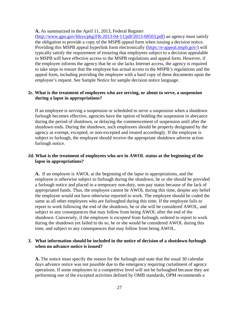**A.** As summarized in the April 11, 2013, Federal Register

[\(http://www.gpo.gov/fdsys/pkg/FR-2013-04-11/pdf/2013-08503.pdf\)](http://www.gpo.gov/fdsys/pkg/FR-2013-04-11/pdf/2013-08503.pdf) an agency must satisfy the obligation to provide a copy of the MSPB appeal form when issuing a decision notice. Providing this MSPB appeal hyperlink form electronically [\(https://e-appeal.mspb.gov/\)](https://e-appeal.mspb.gov/) will typically satisfy the requirement of ensuring that employees subject to a decision appealable to MSPB will have effective access to the MSPB regulations and appeal form. However, if the employee informs the agency that he or she lacks Internet access, the agency is required to take steps to ensure that the employee has actual access to the MSPB's regulations and the appeal form, including providing the employee with a hard copy of these documents upon the employee's request. See Sample Notice for sample decision notice language.

#### **2c. What is the treatment of employees who are serving, or about to serve, a suspension during a lapse in appropriations?**

If an employee is serving a suspension or scheduled to serve a suspension when a shutdown furlough becomes effective, agencies have the option of holding the suspension in abeyance during the period of shutdown, or delaying the commencement of suspension until after the shutdown ends. During the shutdown, such employees should be properly designated by the agency as exempt, excepted, or non-excepted and treated accordingly. If the employee is subject to furlough, the employee should receive the appropriate shutdown adverse action furlough notice.

## **2d. What is the treatment of employees who are in AWOL status at the beginning of the lapse in appropriations?**

**A.** If an employee is AWOL at the beginning of the lapse in appropriations, and the employee is otherwise subject to furlough during the shutdown, he or she should be provided a furlough notice and placed in a temporary non-duty, non-pay status because of the lack of appropriated funds. Thus, the employee cannot be AWOL during this time, despite any belief the employee would not have otherwise reported to work. The employee should be coded the same as all other employees who are furloughed during this time. If the employee fails to report to work following the end of the shutdown, he or she will be considered AWOL, and subject to any consequences that may follow from being AWOL after the end of the shutdown. Conversely, if the employee is *excepted* from furlough, ordered to report to work during the shutdown yet failed to do so, he or she would be considered AWOL during this time, and subject to any consequences that may follow from being AWOL.

#### **3. What information should be included in the notice of decision of a shutdown furlough when no advance notice is issued?**

**A.** The notice must specify the reason for the furlough and state that the usual 30 calendar days advance notice was not possible due to the emergency requiring curtailment of agency operations. If some employees in a competitive level will not be furloughed because they are performing one of the excepted activities defined by OMB standards, OPM recommends a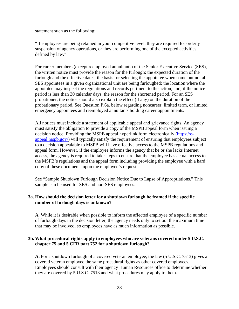statement such as the following:

"If employees are being retained in your competitive level, they are required for orderly suspension of agency operations, or they are performing one of the excepted activities defined by law."

For career members (except reemployed annuitants) of the Senior Executive Service (SES), the written notice must provide the reason for the furlough; the expected duration of the furlough and the effective dates; the basis for selecting the appointee when some but not all SES appointees in a given organizational unit are being furloughed; the location where the appointee may inspect the regulations and records pertinent to the action; and, if the notice period is less than 30 calendar days, the reason for the shortened period. For an SES probationer, the notice should also explain the effect (if any) on the duration of the probationary period. See Question P.6a. below regarding noncareer, limited term, or limited emergency appointees and reemployed annuitants holding career appointments.

All notices must include a statement of applicable appeal and grievance rights. An agency must satisfy the obligation to provide a copy of the MSPB appeal form when issuing a decision notice. Providing the MSPB appeal hyperlink form electronically [\(https://e](https://e-appeal.mspb.gov/)[appeal.mspb.gov/\)](https://e-appeal.mspb.gov/) will typically satisfy the requirement of ensuring that employees subject to a decision appealable to MSPB will have effective access to the MSPB regulations and appeal form. However, if the employee informs the agency that he or she lacks Internet access, the agency is required to take steps to ensure that the employee has actual access to the MSPB's regulations and the appeal form including providing the employee with a hard copy of these documents upon the employee's request.

See "Sample Shutdown Furlough Decision Notice Due to Lapse of Appropriations." This sample can be used for SES and non-SES employees.

#### **3a. How should the decision letter for a shutdown furlough be framed if the specific number of furlough days is unknown?**

**A**. While it is desirable when possible to inform the affected employee of a specific number of furlough days in the decision letter, the agency needs only to set out the maximum time that may be involved, so employees have as much information as possible.

#### **3b. What procedural rights apply to employees who are veterans covered under 5 U.S.C. chapter 75 and 5 CFR part 752 for a shutdown furlough?**

**A.** For a shutdown furlough of a covered veteran employee, the law (5 U.S.C. 7513) gives a covered veteran employee the same procedural rights as other covered employees. Employees should consult with their agency Human Resources office to determine whether they are covered by 5 U.S.C. 7513 and what procedures may apply to them.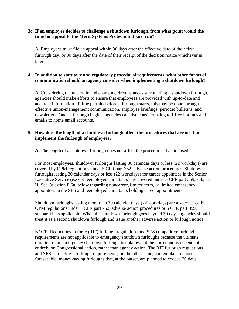## **3c. If an employee decides to challenge a shutdown furlough, from what point would the time for appeal to the Merit Systems Protection Board run?**

**A**. Employees must file an appeal within 30 days after the effective date of their first furlough day, or 30 days after the date of their receipt of the decision notice whichever is later.

## **4. In addition to statutory and regulatory procedural requirements, what other forms of communication should an agency consider when implementing a shutdown furlough?**

**A.** Considering the uncertain and changing circumstances surrounding a shutdown furlough, agencies should make efforts to ensure that employees are provided with up-to-date and accurate information. If time permits before a furlough starts, this may be done through effective union-management communication, employee briefings, periodic bulletins, and newsletters. Once a furlough begins, agencies can also consider using toll-free hotlines and emails to home email accounts.

## **5. How does the length of a shutdown furlough affect the procedures that are used to implement the furlough of employees?**

**A.** The length of a shutdown furlough does not affect the procedures that are used.

For most employees, shutdown furloughs lasting 30 calendar days or less (22 workdays) are covered by OPM regulations under 5 CFR part 752, adverse action procedures. Shutdown furloughs lasting 30 calendar days or less (22 workdays) for career appointees in the Senior Executive Service (except reemployed annuitants) are covered under 5 CFR part 359, subpart H. See Question P.6a. below regarding noncareer, limited term, or limited emergency appointees in the SES and reemployed annuitants holding career appointments.

Shutdown furloughs lasting more than 30 calendar days (22 workdays) are also covered by OPM regulations under 5 CFR part 752, adverse action procedures or 5 CFR part 359, subpart H, as applicable. When the shutdown furlough goes beyond 30 days, agencies should treat it as a second shutdown furlough and issue another adverse action or furlough notice.

NOTE: Reductions in force (RIF) furlough regulations and SES competitive furlough requirements are not applicable to emergency shutdown furloughs because the ultimate duration of an emergency shutdown furlough is unknown at the outset and is dependent entirely on Congressional action, rather than agency action. The RIF furlough regulations and SES competitive furlough requirements, on the other hand, contemplate planned, foreseeable, money-saving furloughs that, at the outset, are planned to exceed 30 days.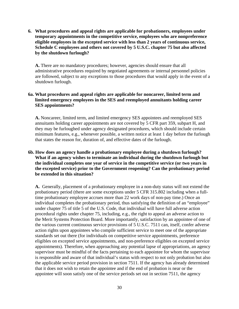**6. What procedures and appeal rights are applicable for probationers, employees under temporary appointments in the competitive service, employees who are nonpreference eligible employees in the excepted service with less than 2 years of continuous service, Schedule C employees and others not covered by 5 U.S.C. chapter 75 but also affected by the shutdown furlough?**

**A.** There are no mandatory procedures; however, agencies should ensure that all administrative procedures required by negotiated agreements or internal personnel policies are followed, subject to any exceptions to those procedures that would apply in the event of a shutdown furlough.

## **6a. What procedures and appeal rights are applicable for noncareer, limited term and limited emergency employees in the SES and reemployed annuitants holding career SES appointments?**

**A.** Noncareer, limited term, and limited emergency SES appointees and reemployed SES annuitants holding career appointments are not covered by 5 CFR part 359, subpart H, and they may be furloughed under agency designated procedures, which should include certain minimum features, e.g., whenever possible, a written notice at least 1 day before the furlough that states the reason for, duration of, and effective dates of the furlough.

## **6b. How does an agency handle a probationary employee during a shutdown furlough? What if an agency wishes to terminate an individual during the shutdown furlough but the individual completes one year of service in the competitive service (or two years in the excepted service) prior to the Government reopening? Can the probationary period be extended in this situation?**

**A.** Generally, placement of a probationary employee in a non-duty status will not extend the probationary period (there are some exceptions under 5 CFR 315.802 including when a fulltime probationary employee accrues more than 22 work days of non-pay time.) Once an individual completes the probationary period, thus satisfying the definition of an "employee" under chapter 75 of title 5 of the U.S. Code, that individual will have full adverse action procedural rights under chapter 75, including, e.g., the right to appeal an adverse action to the Merit Systems Protection Board. More importantly, satisfaction by an appointee of one of the various current continuous service provisions of 5 U.S.C. 7511 can, itself, confer adverse action rights upon appointees who compile sufficient service to meet one of the appropriate standards set out there (for individuals on competitive service appointments, preference eligibles on excepted service appointments, and non-preference eligibles on excepted service appointments). Therefore, when approaching any potential lapse of appropriations, an agency supervisor must be mindful of the facts pertaining to each appointee for whom the supervisor is responsible and aware of that individual's status with respect to not only probation but also the applicable service period provision in section 7511. If the agency has already determined that it does not wish to retain the appointee and if the end of probation is near or the appointee will soon satisfy one of the service periods set out in section 7511, the agency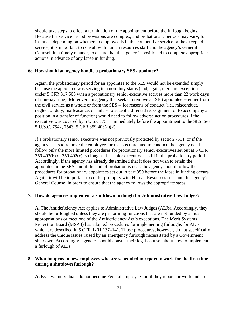should take steps to effect a termination of the appointment before the furlough begins. Because the service period provisions are complex, and probationary periods may vary, for instance, depending on whether an employee is in the competitive service or the excepted service, it is important to consult with human resources staff and the agency's General Counsel, in a timely manner, to ensure that the agency is positioned to complete appropriate actions in advance of any lapse in funding.

#### **6c. How should an agency handle a probationary SES appointee?**

Again, the probationary period for an appointee to the SES would not be extended simply because the appointee was serving in a non-duty status (and, again, there are exceptions under 5 CFR 317.503 when a probationary senior executive accrues more than 22 work days of non-pay time). Moreover, an agency that seeks to remove an SES appointee -- either from the civil service as a whole or from the SES -- for reasons of conduct (i.e., misconduct, neglect of duty, malfeasance, or failure to accept a directed reassignment or to accompany a position in a transfer of function) would need to follow adverse action procedures if the executive was covered by 5 U.S.C. 7511 immediately before the appointment to the SES. See 5 U.S.C. 7542, 7543; 5 CFR 359.403(a)(2).

If a probationary senior executive was not previously protected by section 7511, or if the agency seeks to remove the employee for reasons unrelated to conduct, the agency need follow only the more limited procedures for probationary senior executives set out at 5 CFR 359.403(b) or 359.402(c), so long as the senior executive is still in the probationary period. Accordingly, if the agency has already determined that it does not wish to retain the appointee in the SES, and if the end of probation is near, the agency should follow the procedures for probationary appointees set out in part 359 before the lapse in funding occurs. Again, it will be important to confer promptly with Human Resources staff and the agency's General Counsel in order to ensure that the agency follows the appropriate steps.

#### **7. How do agencies implement a shutdown furlough for Administrative Law Judges?**

**A.** The Antideficiency Act applies to Administrative Law Judges (ALJs). Accordingly, they should be furloughed unless they are performing functions that are not funded by annual appropriations or meet one of the Antideficiency Act's exceptions. The Merit Systems Protection Board (MSPB) has adopted procedures for implementing furloughs for ALJs, which are described in 5 CFR 1201.137–141. Those procedures, however, do not specifically address the unique issues raised by an emergency furlough necessitated by a Government shutdown. Accordingly, agencies should consult their legal counsel about how to implement a furlough of ALJs.

#### **8. What happens to new employees who are scheduled to report to work for the first time during a shutdown furlough?**

**A.** By law, individuals do not become Federal employees until they report for work and are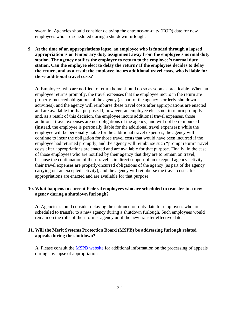sworn in. Agencies should consider delaying the entrance-on-duty (EOD) date for new employees who are scheduled during a shutdown furlough.

**9. At the time of an appropriations lapse, an employee who is funded through a lapsed appropriation is on temporary duty assignment away from the employee's normal duty station. The agency notifies the employee to return to the employee's normal duty station. Can the employee elect to delay the return? If the employees decides to delay the return, and as a result the employee incurs additional travel costs, who is liable for those additional travel costs?**

**A.** Employees who are notified to return home should do so as soon as practicable. When an employee returns promptly, the travel expenses that the employee incurs in the return are properly-incurred obligations of the agency (as part of the agency's orderly-shutdown activities), and the agency will reimburse these travel costs after appropriations are enacted and are available for that purpose. If, however, an employee elects not to return promptly and, as a result of this decision, the employee incurs additional travel expenses, those additional travel expenses are not obligations of the agency, and will not be reimbursed (instead, the employee is personally liable for the additional travel expenses); while the employee will be personally liable for the additional travel expenses, the agency will continue to incur the obligation for those travel costs that would have been incurred if the employee had returned promptly, and the agency will reimburse such "prompt return" travel costs after appropriations are enacted and are available for that purpose. Finally, in the case of those employees who are notified by their agency that they are to remain on travel, because the continuation of their travel is in direct support of an excepted agency activity, their travel expenses are properly-incurred obligations of the agency (as part of the agency carrying out an excepted activity), and the agency will reimburse the travel costs after appropriations are enacted and are available for that purpose.

#### **10. What happens to current Federal employees who are scheduled to transfer to a new agency during a shutdown furlough?**

**A.** Agencies should consider delaying the entrance-on-duty date for employees who are scheduled to transfer to a new agency during a shutdown furlough. Such employees would remain on the rolls of their former agency until the new transfer effective date.

#### **11. Will the Merit Systems Protection Board (MSPB) be addressing furlough related appeals during the shutdown?**

**A.** Please consult the [MSPB website](http://www.mspb.gov/) for additional information on the processing of appeals during any lapse of appropriations.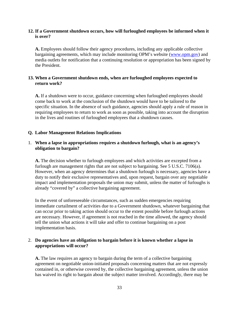## **12. If a Government shutdown occurs, how will furloughed employees be informed when it is over?**

**A.** Employees should follow their agency procedures, including any applicable collective bargaining agreements, which may include monitoring OPM's website [\(www.opm.gov\)](http://www.opm.gov/) and media outlets for notification that a continuing resolution or appropriation has been signed by the President.

## **13. When a Government shutdown ends, when are furloughed employees expected to return work?**

**A.** If a shutdown were to occur, guidance concerning when furloughed employees should come back to work at the conclusion of the shutdown would have to be tailored to the specific situation. In the absence of such guidance, agencies should apply a rule of reason in requiring employees to return to work as soon as possible, taking into account the disruption in the lives and routines of furloughed employees that a shutdown causes.

#### <span id="page-34-0"></span>**Q. Labor Management Relations Implications**

## 1. **When a lapse in appropriations requires a shutdown furlough, what is an agency's obligation to bargain?**

**A.** The decision whether to furlough employees and which activities are excepted from a furlough are management rights that are not subject to bargaining. See 5 U.S.C. 7106(a). However, when an agency determines that a shutdown furlough is necessary, agencies have a duty to notify their exclusive representatives and, upon request, bargain over any negotiable impact and implementation proposals the union may submit, unless the matter of furloughs is already "covered by" a collective bargaining agreement.

In the event of unforeseeable circumstances, such as sudden emergencies requiring immediate curtailment of activities due to a Government shutdown, whatever bargaining that can occur prior to taking action should occur to the extent possible before furlough actions are necessary. However, if agreement is not reached in the time allowed, the agency should tell the union what actions it will take and offer to continue bargaining on a post implementation basis.

#### 2. **Do agencies have an obligation to bargain before it is known whether a lapse in appropriations will occur?**

**A.** The law requires an agency to bargain during the term of a collective bargaining agreement on negotiable union-initiated proposals concerning matters that are not expressly contained in, or otherwise covered by, the collective bargaining agreement, unless the union has waived its right to bargain about the subject matter involved. Accordingly, there may be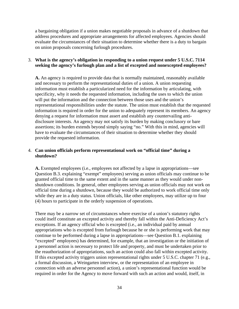a bargaining obligation if a union makes negotiable proposals in advance of a shutdown that address procedures and appropriate arrangements for affected employees. Agencies should evaluate the circumstances of their situation to determine whether there is a duty to bargain on union proposals concerning furlough procedures.

## 3. **What is the agency's obligation in responding to a union request under 5 U.S.C. 7114 seeking the agency's furlough plan and a list of excepted and nonexcepted employees?**

**A.** An agency is required to provide data that is normally maintained, reasonably available and necessary to perform the representational duties of a union. A union requesting information must establish a particularized need for the information by articulating, with specificity, why it needs the requested information, including the uses to which the union will put the information and the connection between those uses and the union's representational responsibilities under the statute. The union must establish that the requested information is required in order for the union to adequately represent its members. An agency denying a request for information must assert and establish any countervailing antidisclosure interests. An agency may not satisfy its burden by making conclusory or bare assertions; its burden extends beyond simply saying "no." With this in mind, agencies will have to evaluate the circumstances of their situation to determine whether they should provide the requested information.

## 4. **Can union officials perform representational work on "official time" during a shutdown?**

**A.** Exempted employees (i.e., employees not affected by a lapse in appropriations—see Question B.3. explaining "exempt" employees) serving as union officials may continue to be granted official time to the same extent and in the same manner as they would under nonshutdown conditions. In general, other employees serving as union officials may not work on official time during a shutdown, because they would be authorized to work official time only while they are in a duty status. Union officials, like other employees, may utilize up to four (4) hours to participate in the orderly suspension of operations.

There may be a narrow set of circumstances where exercise of a union's statutory rights could itself constitute an excepted activity and thereby fall within the Anti-Deficiency Act's exceptions. If an agency official who is excepted (i.e., an individual paid by annual appropriations who is excepted from furlough because he or she is performing work that may continue to be performed during a lapse in appropriations—see Question B.1. explaining "excepted" employees) has determined, for example, that an investigation or the initiation of a personnel action is necessary to protect life and property, and must be undertaken prior to the reauthorization of appropriations, such an action could also fall within excepted activity. If this excepted activity triggers union representational rights under 5 U.S.C. chapter 71 (e.g., a formal discussion, a Weingarten interview, or the representation of an employee in connection with an adverse personnel action), a union's representational function would be required in order for the Agency to move forward with such an action and would, itself, in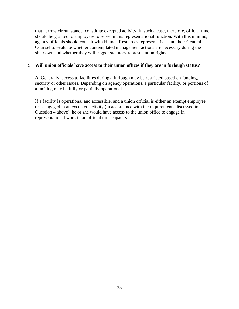that narrow circumstance, constitute excepted activity. In such a case, therefore, official time should be granted to employees to serve in this representational function. With this in mind, agency officials should consult with Human Resources representatives and their General Counsel to evaluate whether contemplated management actions are necessary during the shutdown and whether they will trigger statutory representation rights.

#### 5. **Will union officials have access to their union offices if they are in furlough status?**

**A.** Generally, access to facilities during a furlough may be restricted based on funding, security or other issues. Depending on agency operations, a particular facility, or portions of a facility, may be fully or partially operational.

If a facility is operational and accessible, and a union official is either an exempt employee or is engaged in an excepted activity (in accordance with the requirements discussed in Question 4 above), he or she would have access to the union office to engage in representational work in an official time capacity.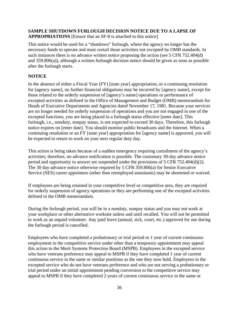## <span id="page-37-0"></span>**SAMPLE SHUTDOWN FURLOUGH DECISION NOTICE DUE TO A LAPSE OF**

**APPROPRIATIONS** [Ensure that an SF-8 is attached to this notice]

This notice would be used for a "shutdown" furlough, where the agency no longer has the necessary funds to operate and must curtail those activities not excepted by OMB standards. In such instances there is no advance written notice proposing the action (see 5 CFR 752.404(d) and 359.806(a)), although a written furlough decision notice should be given as soon as possible after the furlough starts.

## **NOTICE**

In the absence of either a Fiscal Year (FY) [state year] appropriation, or a continuing resolution for [agency name], no further financial obligations may be incurred by [agency name], except for those related to the orderly suspension of [agency's name] operations or performance of excepted activities as defined in the Office of Management and Budget (OMB) memorandum for Heads of Executive Departments and Agencies dated November 17, 1981. Because your services are no longer needed for orderly suspension of operations and you are not engaged in one of the excepted functions, you are being placed in a furlough status effective [enter date]. This furlough, i.e., nonduty, nonpay status, is not expected to exceed 30 days. Therefore, this furlough notice expires on [enter date]. You should monitor public broadcasts and the Internet. When a continuing resolution or an FY [state year] appropriation for [agency name] is approved, you will be expected to return to work on your next regular duty day.

This action is being taken because of a sudden emergency requiring curtailment of the agency's activities; therefore, no advance notification is possible. The customary 30-day advance notice period and opportunity to answer are suspended under the provisions of 5 CFR 752.404(d)(2). The 30 day-advance notice otherwise required by 5 CFR 359.806(a) for Senior Executive Service (SES) career appointees (other than reemployed annuitants) may be shortened or waived.

If employees are being retained in your competitive level or competitive area, they are required for orderly suspension of agency operations or they are performing one of the excepted activities defined in the OMB memorandum.

During the furlough period, you will be in a nonduty, nonpay status and you may not work at your workplace or other alternative worksite unless and until recalled. You will not be permitted to work as an unpaid volunteer. Any paid leave (annual, sick, court, etc.) approved for use during the furlough period is cancelled.

Employees who have completed a probationary or trial period or 1 year of current continuous employment in the competitive service under other than a temporary appointment may appeal this action to the Merit Systems Protection Board (MSPB). Employees in the excepted service who have veterans preference may appeal to MSPB if they have completed 1 year of current continuous service in the same or similar positions as the one they now hold. Employees in the excepted service who do not have veterans preference and who are not serving a probationary or trial period under an initial appointment pending conversion to the competitive service may appeal to MSPB if they have completed 2 years of current continuous service in the same or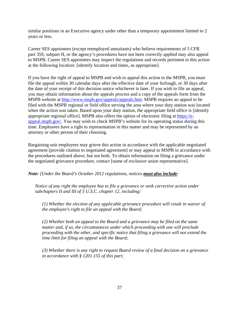similar positions in an Executive agency under other than a temporary appointment limited to 2 years or less.

Career SES appointees (except reemployed annuitants) who believe requirements of 5 CFR part 359, subpart H, or the agency's procedures have not been correctly applied may also appeal to MSPB. Career SES appointees may inspect the regulations and records pertinent to this action at the following location: [identify location and times, as appropriate].

If you have the right of appeal to MSPB and wish to appeal this action to the MSPB, you must file the appeal within 30 calendar days after the effective date of your furlough, or 30 days after the date of your receipt of this decision notice whichever is later. If you wish to file an appeal, you may obtain information about the appeals process and a copy of the appeals form from the MSPB website at [http://www.mspb.gov/appeals/appeals.htm.](http://www.mspb.gov/appeals/appeals.htm) MSPB requires an appeal to be filed with the MSPB regional or field office serving the area where your duty station was located when the action was taken. Based upon your duty station, the appropriate field office is [identify appropriate regional office]. MSPB also offers the option of electronic filing at [https://e](https://e-appeal.mspb.gov/)[appeal.mspb.gov/.](https://e-appeal.mspb.gov/) You may wish to check MSPB's website for its operating status during this time. Employees have a right to representation in this matter and may be represented by an attorney or other person of their choosing.

Bargaining unit employees may grieve this action in accordance with the applicable negotiated agreement [provide citation to negotiated agreement] or may appeal to MSPB in accordance with the procedures outlined above, but not both. To obtain information on filing a grievance under the negotiated grievance procedure, contact [name of exclusive union representative].

*Note: [Under the Board's October 2012 regulations, notices must also include:* 

*Notice of any right the employee has to file a grievance or seek corrective action under subchapters II and III of 5 U.S.C. chapter 12, including:* 

*(1) Whether the election of any applicable grievance procedure will result in waiver of the employee's right to file an appeal with the Board;* 

*(2) Whether both an appeal to the Board and a grievance may be filed on the same matter and, if so, the circumstances under which proceeding with one will preclude proceeding with the other, and specific notice that filing a grievance will not extend the time limit for filing an appeal with the Board;*

*(3) Whether there is any right to request Board review of a final decision on a grievance in accordance with § 1201.155 of this part;*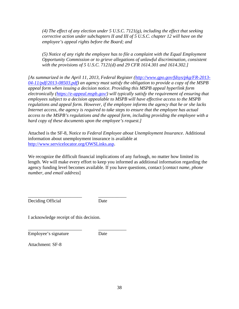*(4) The effect of any election under 5 U.S.C. 7121(g), including the effect that seeking corrective action under subchapters II and III of 5 U.S.C. chapter 12 will have on the employee's appeal rights before the Board; and* 

*(5) Notice of any right the employee has to file a complaint with the Equal Employment Opportunity Commission or to grieve allegations of unlawful discrimination, consistent with the provisions of 5 U.S.C. 7121(d) and 29 CFR 1614.301 and 1614.302.]* 

*[As summarized in the April 11, 2013, Federal Register [\(http://www.gpo.gov/fdsys/pkg/FR-2013-](http://www.gpo.gov/fdsys/pkg/FR-2013-04-11/pdf/2013-08503.pdf) [04-11/pdf/2013-08503.pdf\)](http://www.gpo.gov/fdsys/pkg/FR-2013-04-11/pdf/2013-08503.pdf) an agency must satisfy the obligation to provide a copy of the MSPB appeal form when issuing a decision notice. Providing this MSPB appeal hyperlink form electronically [\(https://e-appeal.mspb.gov/\)](https://e-appeal.mspb.gov/) will typically satisfy the requirement of ensuring that employees subject to a decision appealable to MSPB will have effective access to the MSPB regulations and appeal form. However, if the employee informs the agency that he or she lacks Internet access, the agency is required to take steps to ensure that the employee has actual access to the MSPB's regulations and the appeal form, including providing the employee with a hard copy of these documents upon the employee's request.]*

Attached is the SF-8, *Notice to Federal Employee about Unemployment Insurance*. Additional information about unemployment insurance is available at [http://www.servicelocator.org/OWSLinks.asp.](http://www.servicelocator.org/OWSLinks.asp)

We recognize the difficult financial implications of any furlough, no matter how limited its length. We will make every effort to keep you informed as additional information regarding the agency funding level becomes available. If you have questions, contact [*contact name, phone number, and email address*]

\_\_\_\_\_\_\_\_\_\_\_\_\_\_\_\_\_\_\_\_\_\_\_ \_\_\_\_\_\_\_\_\_\_\_\_ Deciding Official Date

I acknowledge receipt of this decision.

\_\_\_\_\_\_\_\_\_\_\_\_\_\_\_\_\_\_\_\_\_\_\_ \_\_\_\_\_\_\_\_\_\_\_\_

Employee's signature Date

Attachment: SF-8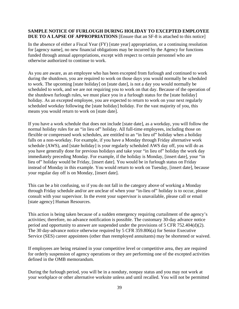## <span id="page-40-0"></span>**SAMPLE NOTICE OF FURLOUGH DURING HOLIDAY TO EXCEPTED EMPLOYEE DUE TO A LAPSE OF APPROPRIATIONS** [Ensure that an SF-8 is attached to this notice]

In the absence of either a Fiscal Year (FY) [state year] appropriation, or a continuing resolution for [agency name], no new financial obligations may be incurred by the Agency for functions funded through annual appropriations, except with respect to certain personnel who are otherwise authorized to continue to work.

As you are aware, as an employee who has been excepted from furlough and continued to work during the shutdown, you are required to work on those days you would normally be scheduled to work. The upcoming [state holiday] on [state date], is not a day you would normally be scheduled to work, and we are not requiring you to work on that day. Because of the operation of the shutdown furlough rules, we must place you in a furlough status for the [state holiday] holiday. As an excepted employee, you are expected to return to work on your next regularly scheduled workday following the [state holiday] holiday. For the vast majority of you, this means you would return to work on [state date].

If you have a work schedule that does not include [state date], as a workday, you will follow the normal holiday rules for an "in lieu of" holiday. All full-time employees, including those on flexible or compressed work schedules, are entitled to an "in lieu of" holiday when a holiday falls on a non-workday. For example, if you have a Monday through Friday alternative work schedule (AWS), and [state holiday] is your regularly scheduled AWS day off, you will do as you have generally done for previous holidays and take your "in lieu of" holiday the work day immediately preceding Monday. For example, if the holiday is Monday, [insert date], your "in lieu of" holiday would be Friday, [insert date]. You would be in furlough status on Friday instead of Monday in this example. You would return to work on Tuesday, [insert date], because your regular day off is on Monday, [insert date].

This can be a bit confusing, so if you do not fall in the category above of working a Monday through Friday schedule and/or are unclear of when your "in-lieu of" holiday is to occur, please consult with your supervisor. In the event your supervisor is unavailable, please call or email [state agency] Human Resources.

This action is being taken because of a sudden emergency requiring curtailment of the agency's activities; therefore, no advance notification is possible. The customary 30-day advance notice period and opportunity to answer are suspended under the provisions of 5 CFR 752.404(d)(2). The 30 day-advance notice otherwise required by 5 CFR 359.806(a) for Senior Executive Service (SES) career appointees (other than reemployed annuitants) may be shortened or waived.

If employees are being retained in your competitive level or competitive area, they are required for orderly suspension of agency operations or they are performing one of the excepted activities defined in the OMB memorandum.

During the furlough period, you will be in a nonduty, nonpay status and you may not work at your workplace or other alternative worksite unless and until recalled. You will not be permitted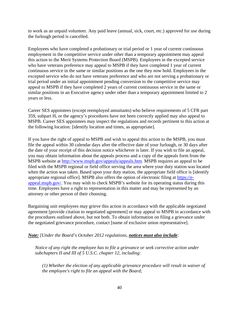to work as an unpaid volunteer. Any paid leave (annual, sick, court, etc.) approved for use during the furlough period is cancelled.

Employees who have completed a probationary or trial period or 1 year of current continuous employment in the competitive service under other than a temporary appointment may appeal this action to the Merit Systems Protection Board (MSPB). Employees in the excepted service who have veterans preference may appeal to MSPB if they have completed 1 year of current continuous service in the same or similar positions as the one they now hold. Employees in the excepted service who do not have veterans preference and who are not serving a probationary or trial period under an initial appointment pending conversion to the competitive service may appeal to MSPB if they have completed 2 years of current continuous service in the same or similar positions in an Executive agency under other than a temporary appointment limited to 2 years or less.

Career SES appointees (except reemployed annuitants) who believe requirements of 5 CFR part 359, subpart H, or the agency's procedures have not been correctly applied may also appeal to MSPB. Career SES appointees may inspect the regulations and records pertinent to this action at the following location: [identify location and times, as appropriate].

If you have the right of appeal to MSPB and wish to appeal this action to the MSPB, you must file the appeal within 30 calendar days after the effective date of your furlough, or 30 days after the date of your receipt of this decision notice whichever is later. If you wish to file an appeal, you may obtain information about the appeals process and a copy of the appeals form from the MSPB website at [http://www.mspb.gov/appeals/appeals.htm.](http://www.mspb.gov/appeals/appeals.htm) MSPB requires an appeal to be filed with the MSPB regional or field office serving the area where your duty station was located when the action was taken. Based upon your duty station, the appropriate field office is [identify appropriate regional office]. MSPB also offers the option of electronic filing at [https://e](https://e-appeal.mspb.gov/)[appeal.mspb.gov/.](https://e-appeal.mspb.gov/) You may wish to check MSPB's website for its operating status during this time. Employees have a right to representation in this matter and may be represented by an attorney or other person of their choosing.

Bargaining unit employees may grieve this action in accordance with the applicable negotiated agreement [provide citation to negotiated agreement] or may appeal to MSPB in accordance with the procedures outlined above, but not both. To obtain information on filing a grievance under the negotiated grievance procedure, contact [name of exclusive union representative].

#### *Note: [Under the Board's October 2012 regulations, notices must also include:*

*Notice of any right the employee has to file a grievance or seek corrective action under subchapters II and III of 5 U.S.C. chapter 12, including:* 

*(1) Whether the election of any applicable grievance procedure will result in waiver of the employee's right to file an appeal with the Board;*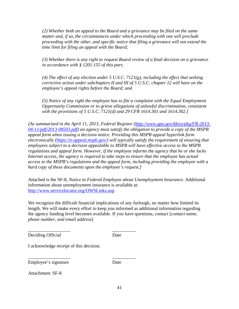*(2) Whether both an appeal to the Board and a grievance may be filed on the same matter and, if so, the circumstances under which proceeding with one will preclude proceeding with the other, and specific notice that filing a grievance will not extend the time limit for filing an appeal with the Board;* 

*(3) Whether there is any right to request Board review of a final decision on a grievance in accordance with § 1201.155 of this part;* 

*(4) The effect of any election under 5 U.S.C. 7121(g), including the effect that seeking corrective action under subchapters II and III of 5 U.S.C. chapter 12 will have on the employee's appeal rights before the Board; and* 

*(5) Notice of any right the employee has to file a complaint with the Equal Employment Opportunity Commission or to grieve allegations of unlawful discrimination, consistent with the provisions of 5 U.S.C. 7121(d) and 29 CFR 1614.301 and 1614.302.]* 

*[As summarized in the April 11, 2013, Federal Register [\(http://www.gpo.gov/fdsys/pkg/FR-2013-](http://www.gpo.gov/fdsys/pkg/FR-2013-04-11/pdf/2013-08503.pdf) [04-11/pdf/2013-08503.pdf\)](http://www.gpo.gov/fdsys/pkg/FR-2013-04-11/pdf/2013-08503.pdf) an agency must satisfy the obligation to provide a copy of the MSPB appeal form when issuing a decision notice. Providing this MSPB appeal hyperlink form electronically [\(https://e-appeal.mspb.gov/\)](https://e-appeal.mspb.gov/) will typically satisfy the requirement of ensuring that employees subject to a decision appealable to MSPB will have effective access to the MSPB regulations and appeal form. However, if the employee informs the agency that he or she lacks Internet access, the agency is required to take steps to ensure that the employee has actual access to the MSPB's regulations and the appeal form, including providing the employee with a hard copy of these documents upon the employee's request.]* 

Attached is the SF-8, *Notice to Federal Employee about Unemployment Insurance*. Additional information about unemployment insurance is available at: [http://www.servicelocator.org/OWSLinks.asp.](http://www.servicelocator.org/OWSLinks.asp)

We recognize the difficult financial implications of any furlough, no matter how limited its length. We will make every effort to keep you informed as additional information regarding the agency funding level becomes available. If you have questions, contact [*contact name, phone number, and email address*]

Deciding Official Date

\_\_\_\_\_\_\_\_\_\_\_\_\_\_\_\_\_\_ \_\_\_\_\_\_\_\_\_\_

I acknowledge receipt of this decision.

Employee's signature Date

\_\_\_\_\_\_\_\_\_\_\_\_\_\_\_\_\_\_ \_\_\_\_\_\_\_\_\_\_

Attachment: SF-8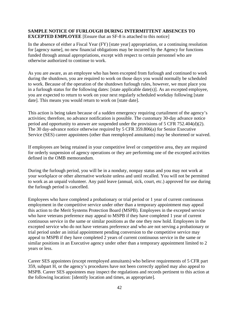#### <span id="page-43-0"></span>**SAMPLE NOTICE OF FURLOUGH DURING INTERMITTENT ABSENCES TO EXCEPTED EMPLOYEE** [Ensure that an SF-8 is attached to this notice]

In the absence of either a Fiscal Year (FY) [state year] appropriation, or a continuing resolution for [agency name], no new financial obligations may be incurred by the Agency for functions funded through annual appropriations, except with respect to certain personnel who are otherwise authorized to continue to work.

As you are aware, as an employee who has been excepted from furlough and continued to work during the shutdown, you are required to work on those days you would normally be scheduled to work. Because of the operation of the shutdown furlough rules, however, we must place you in a furlough status for the following dates: [state applicable date(s)]. As an excepted employee, you are expected to return to work on your next regularly scheduled workday following [state date]. This means you would return to work on [state date].

This action is being taken because of a sudden emergency requiring curtailment of the agency's activities; therefore, no advance notification is possible. The customary 30-day advance notice period and opportunity to answer are suspended under the provisions of 5 CFR 752.404(d)(2). The 30 day-advance notice otherwise required by 5 CFR 359.806(a) for Senior Executive Service (SES) career appointees (other than reemployed annuitants) may be shortened or waived.

If employees are being retained in your competitive level or competitive area, they are required for orderly suspension of agency operations or they are performing one of the excepted activities defined in the OMB memorandum.

During the furlough period, you will be in a nonduty, nonpay status and you may not work at your workplace or other alternative worksite unless and until recalled. You will not be permitted to work as an unpaid volunteer. Any paid leave (annual, sick, court, etc.) approved for use during the furlough period is cancelled.

Employees who have completed a probationary or trial period or 1 year of current continuous employment in the competitive service under other than a temporary appointment may appeal this action to the Merit Systems Protection Board (MSPB). Employees in the excepted service who have veterans preference may appeal to MSPB if they have completed 1 year of current continuous service in the same or similar positions as the one they now hold. Employees in the excepted service who do not have veterans preference and who are not serving a probationary or trial period under an initial appointment pending conversion to the competitive service may appeal to MSPB if they have completed 2 years of current continuous service in the same or similar positions in an Executive agency under other than a temporary appointment limited to 2 years or less.

Career SES appointees (except reemployed annuitants) who believe requirements of 5 CFR part 359, subpart H, or the agency's procedures have not been correctly applied may also appeal to MSPB. Career SES appointees may inspect the regulations and records pertinent to this action at the following location: [identify location and times, as appropriate].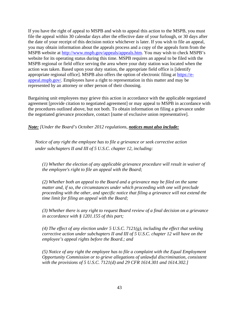If you have the right of appeal to MSPB and wish to appeal this action to the MSPB, you must file the appeal within 30 calendar days after the effective date of your furlough, or 30 days after the date of your receipt of this decision notice whichever is later. If you wish to file an appeal, you may obtain information about the appeals process and a copy of the appeals form from the MSPB website at [http://www.mspb.gov/appeals/appeals.htm.](http://www.mspb.gov/appeals/appeals.htm) You may wish to check MSPB's website for its operating status during this time. MSPB requires an appeal to be filed with the MSPB regional or field office serving the area where your duty station was located when the action was taken. Based upon your duty station, the appropriate field office is [identify appropriate regional office]. MSPB also offers the option of electronic filing at [https://e](https://e-appeal.mspb.gov/)[appeal.mspb.gov/.](https://e-appeal.mspb.gov/) Employees have a right to representation in this matter and may be represented by an attorney or other person of their choosing.

Bargaining unit employees may grieve this action in accordance with the applicable negotiated agreement [provide citation to negotiated agreement] or may appeal to MSPB in accordance with the procedures outlined above, but not both. To obtain information on filing a grievance under the negotiated grievance procedure, contact [name of exclusive union representative].

*Note: [Under the Board's October 2012 regulations, notices must also include:*

*Notice of any right the employee has to file a grievance or seek corrective action under subchapters II and III of 5 U.S.C. chapter 12, including:* 

*(1) Whether the election of any applicable grievance procedure will result in waiver of the employee's right to file an appeal with the Board;*

*(2) Whether both an appeal to the Board and a grievance may be filed on the same matter and, if so, the circumstances under which proceeding with one will preclude proceeding with the other, and specific notice that filing a grievance will not extend the time limit for filing an appeal with the Board;*

*(3) Whether there is any right to request Board review of a final decision on a grievance in accordance with § 1201.155 of this part;*

*(4) The effect of any election under 5 U.S.C. 7121(g), including the effect that seeking corrective action under subchapters II and III of 5 U.S.C. chapter 12 will have on the employee's appeal rights before the Board.; and*

*(5) Notice of any right the employee has to file a complaint with the Equal Employment Opportunity Commission or to grieve allegations of unlawful discrimination, consistent with the provisions of 5 U.S.C. 7121(d) and 29 CFR 1614.301 and 1614.302.]*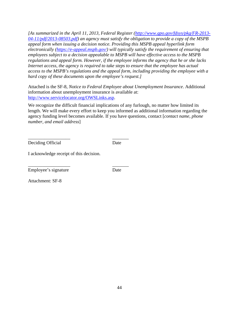*[As summarized in the April 11, 2013, Federal Register [\(http://www.gpo.gov/fdsys/pkg/FR-2013-](http://www.gpo.gov/fdsys/pkg/FR-2013-04-11/pdf/2013-08503.pdf) [04-11/pdf/2013-08503.pdf\)](http://www.gpo.gov/fdsys/pkg/FR-2013-04-11/pdf/2013-08503.pdf) an agency must satisfy the obligation to provide a copy of the MSPB appeal form when issuing a decision notice. Providing this MSPB appeal hyperlink form electronically [\(https://e-appeal.mspb.gov/\)](https://e-appeal.mspb.gov/) will typically satisfy the requirement of ensuring that employees subject to a decision appealable to MSPB will have effective access to the MSPB regulations and appeal form. However, if the employee informs the agency that he or she lacks Internet access, the agency is required to take steps to ensure that the employee has actual access to the MSPB's regulations and the appeal form, including providing the employee with a hard copy of these documents upon the employee's request.]*

Attached is the SF-8, *Notice to Federal Employee about Unemployment Insurance*. Additional information about unemployment insurance is available at: [http://www.servicelocator.org/OWSLinks.asp.](http://www.servicelocator.org/OWSLinks.asp)

We recognize the difficult financial implications of any furlough, no matter how limited its length. We will make every effort to keep you informed as additional information regarding the agency funding level becomes available. If you have questions, contact [*contact name, phone number, and email address*]

Deciding Official Date

\_\_\_\_\_\_\_\_\_\_\_\_\_\_\_\_\_\_ \_\_\_\_\_\_\_

I acknowledge receipt of this decision.

\_\_\_\_\_\_\_\_\_\_\_\_\_\_\_\_\_\_ \_\_\_\_\_\_\_ Employee's signature Date

Attachment: SF-8